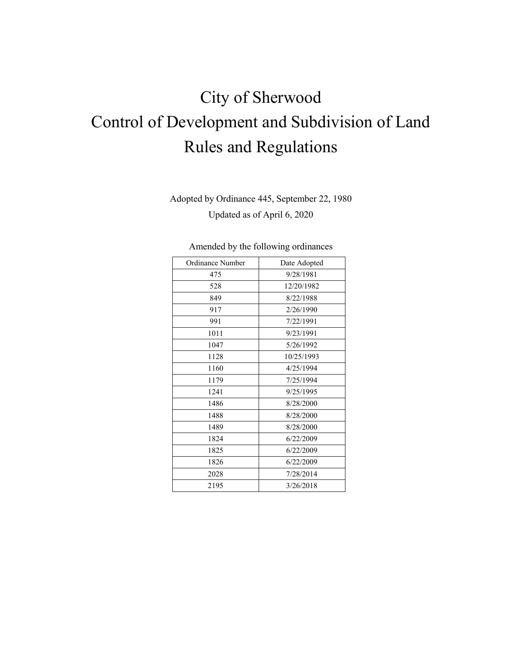# City of Sherwood Control of Development and Subdivision of Land Rules and Regulations

Adopted by Ordinance 445, September 22, 1980 Updated as of April 6, 2020

Amended by the following ordinances

| Ordinance Number | Date Adopted |
|------------------|--------------|
| 475              | 9/28/1981    |
| 528              | 12/20/1982   |
| 849              | 8/22/1988    |
| 917              | 2/26/1990    |
| 991              | 7/22/1991    |
| 1011             | 9/23/1991    |
| 1047             | 5/26/1992    |
| 1128             | 10/25/1993   |
| 1160             | 4/25/1994    |
| 1179             | 7/25/1994    |
| 1241             | 9/25/1995    |
| 1486             | 8/28/2000    |
| 1488             | 8/28/2000    |
| 1489             | 8/28/2000    |
| 1824             | 6/22/2009    |
| 1825             | 6/22/2009    |
| 1826             | 6/22/2009    |
| 2028             | 7/28/2014    |
| 2195             | 3/26/2018    |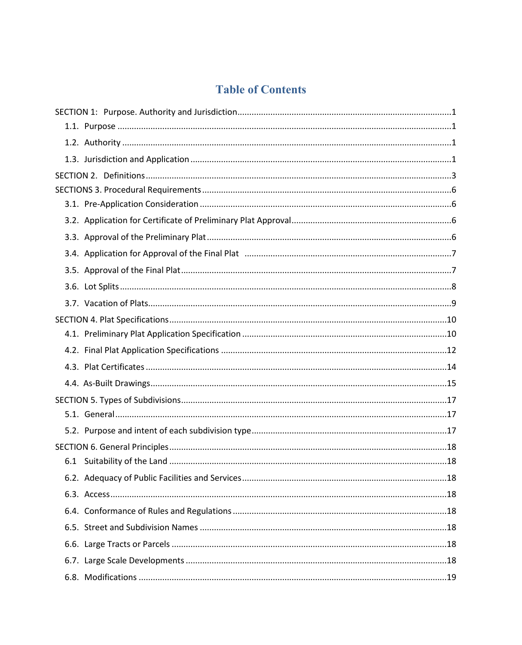# **Table of Contents**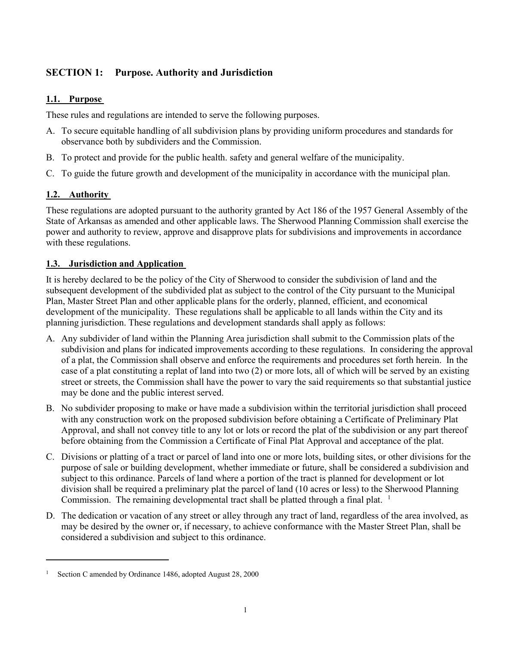# <span id="page-3-0"></span>**SECTION 1: Purpose. Authority and Jurisdiction**

# <span id="page-3-1"></span>**1.1. Purpose**

These rules and regulations are intended to serve the following purposes.

- A. To secure equitable handling of all subdivision plans by providing uniform procedures and standards for observance both by subdividers and the Commission.
- B. To protect and provide for the public health. safety and general welfare of the municipality.
- C. To guide the future growth and development of the municipality in accordance with the municipal plan.

# <span id="page-3-2"></span>**1.2. Authority**

 $\overline{a}$ 

These regulations are adopted pursuant to the authority granted by Act 186 of the 1957 General Assembly of the State of Arkansas as amended and other applicable laws. The Sherwood Planning Commission shall exercise the power and authority to review, approve and disapprove plats for subdivisions and improvements in accordance with these regulations.

# <span id="page-3-3"></span>**1.3. Jurisdiction and Application**

It is hereby declared to be the policy of the City of Sherwood to consider the subdivision of land and the subsequent development of the subdivided plat as subject to the control of the City pursuant to the Municipal Plan, Master Street Plan and other applicable plans for the orderly, planned, efficient, and economical development of the municipality. These regulations shall be applicable to all lands within the City and its planning jurisdiction. These regulations and development standards shall apply as follows:

- A. Any subdivider of land within the Planning Area jurisdiction shall submit to the Commission plats of the subdivision and plans for indicated improvements according to these regulations. In considering the approval of a plat, the Commission shall observe and enforce the requirements and procedures set forth herein. In the case of a plat constituting a replat of land into two (2) or more lots, all of which will be served by an existing street or streets, the Commission shall have the power to vary the said requirements so that substantial justice may be done and the public interest served.
- B. No subdivider proposing to make or have made a subdivision within the territorial jurisdiction shall proceed with any construction work on the proposed subdivision before obtaining a Certificate of Preliminary Plat Approval, and shall not convey title to any lot or lots or record the plat of the subdivision or any part thereof before obtaining from the Commission a Certificate of Final Plat Approval and acceptance of the plat.
- C. Divisions or platting of a tract or parcel of land into one or more lots, building sites, or other divisions for the purpose of sale or building development, whether immediate or future, shall be considered a subdivision and subject to this ordinance. Parcels of land where a portion of the tract is planned for development or lot division shall be required a preliminary plat the parcel of land (10 acres or less) to the Sherwood Planning Commission. The remaining developmental tract shall be platted through a final plat.  $\frac{1}{1}$  $\frac{1}{1}$  $\frac{1}{1}$
- D. The dedication or vacation of any street or alley through any tract of land, regardless of the area involved, as may be desired by the owner or, if necessary, to achieve conformance with the Master Street Plan, shall be considered a subdivision and subject to this ordinance.

<span id="page-3-4"></span><sup>1</sup> Section C amended by Ordinance 1486, adopted August 28, 2000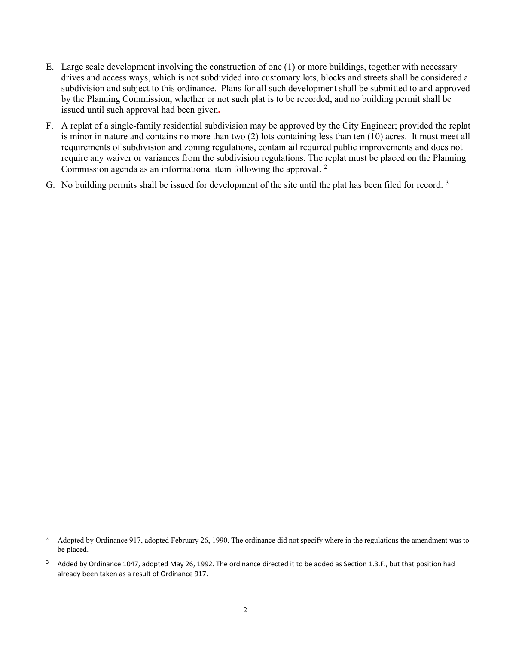- E. Large scale development involving the construction of one (1) or more buildings, together with necessary drives and access ways, which is not subdivided into customary lots, blocks and streets shall be considered a subdivision and subject to this ordinance. Plans for all such development shall be submitted to and approved by the Planning Commission, whether or not such plat is to be recorded, and no building permit shall be issued until such approval had been given**.**
- F. A replat of a single-family residential subdivision may be approved by the City Engineer; provided the replat is minor in nature and contains no more than two (2) lots containing less than ten (10) acres. It must meet all requirements of subdivision and zoning regulations, contain ail required public improvements and does not require any waiver or variances from the subdivision regulations. The replat must be placed on the Planning Commission agenda as an informational item following the approval. [2](#page-4-0)
- G. No building permits shall be issued for development of the site until the plat has been filed for record.<sup>[3](#page-4-1)</sup>

<span id="page-4-0"></span><sup>&</sup>lt;sup>2</sup> Adopted by Ordinance 917, adopted February 26, 1990. The ordinance did not specify where in the regulations the amendment was to be placed.

<span id="page-4-1"></span> $3$  Added by Ordinance 1047, adopted May 26, 1992. The ordinance directed it to be added as Section 1.3.F., but that position had already been taken as a result of Ordinance 917.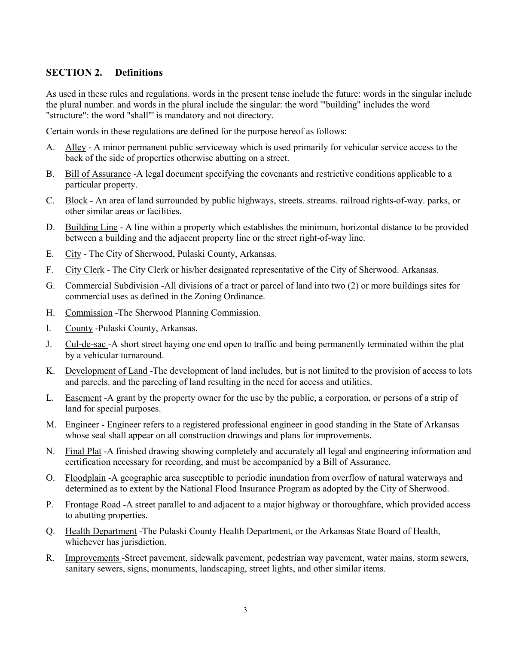# <span id="page-5-0"></span>**SECTION 2. Definitions**

As used in these rules and regulations. words in the present tense include the future: words in the singular include the plural number. and words in the plural include the singular: the word '"building" includes the word "structure": the word "shall"' is mandatory and not directory.

Certain words in these regulations are defined for the purpose hereof as follows:

- A. Alley A minor permanent public serviceway which is used primarily for vehicular service access to the back of the side of properties otherwise abutting on a street.
- B. Bill of Assurance -A legal document specifying the covenants and restrictive conditions applicable to a particular property.
- C. Block An area of land surrounded by public highways, streets. streams. railroad rights-of-way. parks, or other similar areas or facilities.
- D. Building Line A line within a property which establishes the minimum, horizontal distance to be provided between a building and the adjacent property line or the street right-of-way line.
- E. City The City of Sherwood, Pulaski County, Arkansas.
- F. City Clerk The City Clerk or his/her designated representative of the City of Sherwood. Arkansas.
- G. Commercial Subdivision -All divisions of a tract or parcel of land into two (2) or more buildings sites for commercial uses as defined in the Zoning Ordinance.
- H. Commission -The Sherwood Planning Commission.
- I. County -Pulaski County, Arkansas.
- J. Cul-de-sac -A short street haying one end open to traffic and being permanently terminated within the plat by a vehicular turnaround.
- K. Development of Land -The development of land includes, but is not limited to the provision of access to lots and parcels. and the parceling of land resulting in the need for access and utilities.
- L. Easement -A grant by the property owner for the use by the public, a corporation, or persons of a strip of land for special purposes.
- M. Engineer Engineer refers to a registered professional engineer in good standing in the State of Arkansas whose seal shall appear on all construction drawings and plans for improvements.
- N. Final Plat -A finished drawing showing completely and accurately all legal and engineering information and certification necessary for recording, and must be accompanied by a Bill of Assurance.
- O. Floodplain -A geographic area susceptible to periodic inundation from overflow of natural waterways and determined as to extent by the National Flood Insurance Program as adopted by the City of Sherwood.
- P. Frontage Road -A street parallel to and adjacent to a major highway or thoroughfare, which provided access to abutting properties.
- Q. Health Department -The Pulaski County Health Department, or the Arkansas State Board of Health, whichever has jurisdiction.
- R. Improvements -Street pavement, sidewalk pavement, pedestrian way pavement, water mains, storm sewers, sanitary sewers, signs, monuments, landscaping, street lights, and other similar items.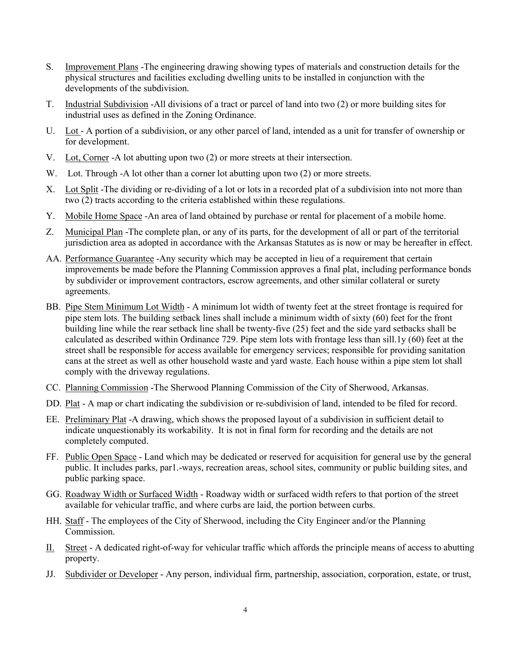- S. Improvement Plans -The engineering drawing showing types of materials and construction details for the physical structures and facilities excluding dwelling units to be installed in conjunction with the developments of the subdivision.
- T. Industrial Subdivision -All divisions of a tract or parcel of land into two (2) or more building sites for industrial uses as defined in the Zoning Ordinance.
- U. Lot A portion of a subdivision, or any other parcel of land, intended as a unit for transfer of ownership or for development.
- V. Lot, Corner -A lot abutting upon two (2) or more streets at their intersection.
- W. Lot. Through -A lot other than a corner lot abutting upon two (2) or more streets.
- X. Lot Split -The dividing or re-dividing of a lot or lots in a recorded plat of a subdivision into not more than two (2) tracts according to the criteria established within these regulations.
- Y. Mobile Home Space -An area of land obtained by purchase or rental for placement of a mobile home.
- Z. Municipal Plan -The complete plan, or any of its parts, for the development of all or part of the territorial jurisdiction area as adopted in accordance with the Arkansas Statutes as is now or may be hereafter in effect.
- AA. Performance Guarantee -Any security which may be accepted in lieu of a requirement that certain improvements be made before the Planning Commission approves a final plat, including performance bonds by subdivider or improvement contractors, escrow agreements, and other similar collateral or surety agreements.
- BB. Pipe Stem Minimum Lot Width A minimum lot width of twenty feet at the street frontage is required for pipe stem lots. The building setback lines shall include a minimum width of sixty (60) feet for the front building line while the rear setback line shall be twenty-five (25) feet and the side yard setbacks shall be calculated as described within Ordinance 729. Pipe stem lots with frontage less than sill.1y (60) feet at the street shall be responsible for access available for emergency services; responsible for providing sanitation cans at the street as well as other household waste and yard waste. Each house within a pipe stem lot shall comply with the driveway regulations.
- CC. Planning Commission -The Sherwood Planning Commission of the City of Sherwood, Arkansas.
- DD. Plat A map or chart indicating the subdivision or re-subdivision of land, intended to be filed for record.
- EE. Preliminary Plat -A drawing, which shows the proposed layout of a subdivision in sufficient detail to indicate unquestionably its workability. It is not in final form for recording and the details are not completely computed.
- FF. Public Open Space Land which may be dedicated or reserved for acquisition for general use by the general public. It includes parks, par1.-ways, recreation areas, school sites, community or public building sites, and public parking space.
- GG. Roadway Width or Surfaced Width Roadway width or surfaced width refers to that portion of the street available for vehicular traffic, and where curbs are laid, the portion between curbs.
- HH. Staff The employees of the City of Sherwood, including the City Engineer and/or the Planning Commission.
- II. Street A dedicated right-of-way for vehicular traffic which affords the principle means of access to abutting property.
- JJ. Subdivider or Developer Any person, individual firm, partnership, association, corporation, estate, or trust,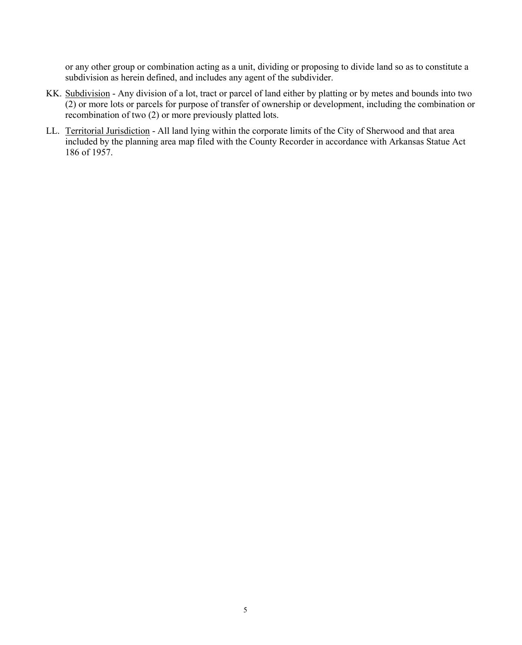or any other group or combination acting as a unit, dividing or proposing to divide land so as to constitute a subdivision as herein defined, and includes any agent of the subdivider.

- KK. Subdivision Any division of a lot, tract or parcel of land either by platting or by metes and bounds into two  $\overline{(2)}$  or more lots or parcels for purpose of transfer of ownership or development, including the combination or recombination of two (2) or more previously platted lots.
- LL. Territorial Jurisdiction All land lying within the corporate limits of the City of Sherwood and that area included by the planning area map filed with the County Recorder in accordance with Arkansas Statue Act 186 of 1957.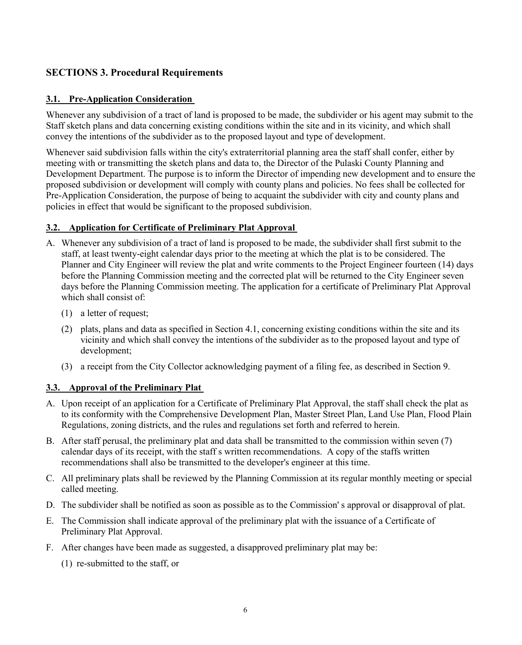# <span id="page-8-0"></span>**SECTIONS 3. Procedural Requirements**

## <span id="page-8-1"></span>**3.1. Pre-Application Consideration**

Whenever any subdivision of a tract of land is proposed to be made, the subdivider or his agent may submit to the Staff sketch plans and data concerning existing conditions within the site and in its vicinity, and which shall convey the intentions of the subdivider as to the proposed layout and type of development.

Whenever said subdivision falls within the city's extraterritorial planning area the staff shall confer, either by meeting with or transmitting the sketch plans and data to, the Director of the Pulaski County Planning and Development Department. The purpose is to inform the Director of impending new development and to ensure the proposed subdivision or development will comply with county plans and policies. No fees shall be collected for Pre-Application Consideration, the purpose of being to acquaint the subdivider with city and county plans and policies in effect that would be significant to the proposed subdivision.

## <span id="page-8-2"></span>**3.2. Application for Certificate of Preliminary Plat Approval**

- A. Whenever any subdivision of a tract of land is proposed to be made, the subdivider shall first submit to the staff, at least twenty-eight calendar days prior to the meeting at which the plat is to be considered. The Planner and City Engineer will review the plat and write comments to the Project Engineer fourteen (14) days before the Planning Commission meeting and the corrected plat will be returned to the City Engineer seven days before the Planning Commission meeting. The application for a certificate of Preliminary Plat Approval which shall consist of:
	- (1) a letter of request;
	- (2) plats, plans and data as specified in Section 4.1, concerning existing conditions within the site and its vicinity and which shall convey the intentions of the subdivider as to the proposed layout and type of development;
	- (3) a receipt from the City Collector acknowledging payment of a filing fee, as described in Section 9.

## <span id="page-8-3"></span>**3.3. Approval of the Preliminary Plat**

- A. Upon receipt of an application for a Certificate of Preliminary Plat Approval, the staff shall check the plat as to its conformity with the Comprehensive Development Plan, Master Street Plan, Land Use Plan, Flood Plain Regulations, zoning districts, and the rules and regulations set forth and referred to herein.
- B. After staff perusal, the preliminary plat and data shall be transmitted to the commission within seven (7) calendar days of its receipt, with the staff s written recommendations. A copy of the staffs written recommendations shall also be transmitted to the developer's engineer at this time.
- C. All preliminary plats shall be reviewed by the Planning Commission at its regular monthly meeting or special called meeting.
- D. The subdivider shall be notified as soon as possible as to the Commission' s approval or disapproval of plat.
- E. The Commission shall indicate approval of the preliminary plat with the issuance of a Certificate of Preliminary Plat Approval.
- F. After changes have been made as suggested, a disapproved preliminary plat may be:

(1) re-submitted to the staff, or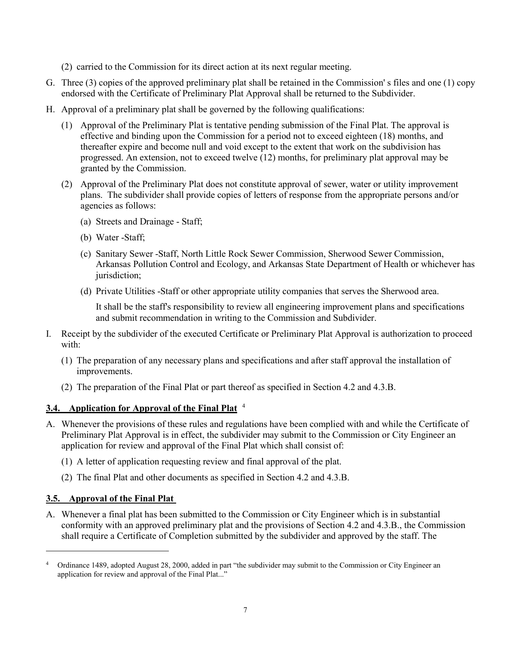- (2) carried to the Commission for its direct action at its next regular meeting.
- G. Three (3) copies of the approved preliminary plat shall be retained in the Commission' s files and one (1) copy endorsed with the Certificate of Preliminary Plat Approval shall be returned to the Subdivider.
- H. Approval of a preliminary plat shall be governed by the following qualifications:
	- (1) Approval of the Preliminary Plat is tentative pending submission of the Final Plat. The approval is effective and binding upon the Commission for a period not to exceed eighteen (18) months, and thereafter expire and become null and void except to the extent that work on the subdivision has progressed. An extension, not to exceed twelve (12) months, for preliminary plat approval may be granted by the Commission.
	- (2) Approval of the Preliminary Plat does not constitute approval of sewer, water or utility improvement plans. The subdivider shall provide copies of letters of response from the appropriate persons and/or agencies as follows:
		- (a) Streets and Drainage Staff;
		- (b) Water -Staff;
		- (c) Sanitary Sewer -Staff, North Little Rock Sewer Commission, Sherwood Sewer Commission, Arkansas Pollution Control and Ecology, and Arkansas State Department of Health or whichever has jurisdiction;
		- (d) Private Utilities -Staff or other appropriate utility companies that serves the Sherwood area.

It shall be the staff's responsibility to review all engineering improvement plans and specifications and submit recommendation in writing to the Commission and Subdivider.

- I. Receipt by the subdivider of the executed Certificate or Preliminary Plat Approval is authorization to proceed with:
	- (1) The preparation of any necessary plans and specifications and after staff approval the installation of improvements.
	- (2) The preparation of the Final Plat or part thereof as specified in Section 4.2 and 4.3.B.

#### <span id="page-9-0"></span>**3.4. Application for Approval of the Final Plat** [4](#page-9-2)

- A. Whenever the provisions of these rules and regulations have been complied with and while the Certificate of Preliminary Plat Approval is in effect, the subdivider may submit to the Commission or City Engineer an application for review and approval of the Final Plat which shall consist of:
	- (1) A letter of application requesting review and final approval of the plat.
	- (2) The final Plat and other documents as specified in Section 4.2 and 4.3.B.

## <span id="page-9-1"></span>**3.5. Approval of the Final Plat**

 $\overline{a}$ 

A. Whenever a final plat has been submitted to the Commission or City Engineer which is in substantial conformity with an approved preliminary plat and the provisions of Section 4.2 and 4.3.B., the Commission shall require a Certificate of Completion submitted by the subdivider and approved by the staff. The

<span id="page-9-2"></span><sup>4</sup> Ordinance 1489, adopted August 28, 2000, added in part "the subdivider may submit to the Commission or City Engineer an application for review and approval of the Final Plat..."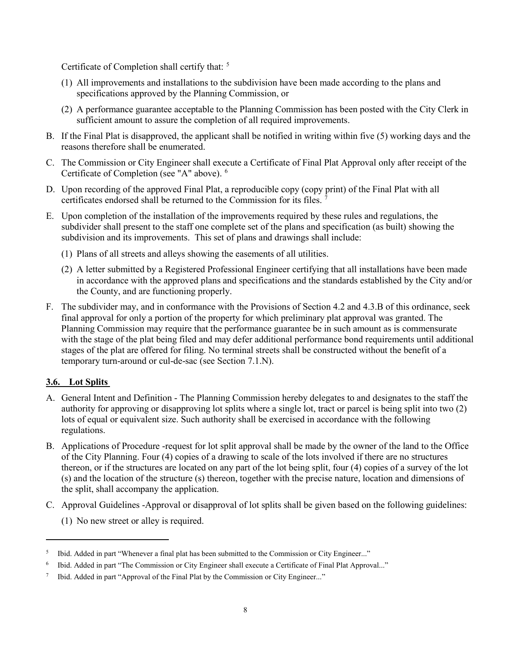Certificate of Completion shall certify that: [5](#page-10-1)

- (1) All improvements and installations to the subdivision have been made according to the plans and specifications approved by the Planning Commission, or
- (2) A performance guarantee acceptable to the Planning Commission has been posted with the City Clerk in sufficient amount to assure the completion of all required improvements.
- B. If the Final Plat is disapproved, the applicant shall be notified in writing within five (5) working days and the reasons therefore shall be enumerated.
- C. The Commission or City Engineer shall execute a Certificate of Final Plat Approval only after receipt of the Certificate of Completion (see "A" above). [6](#page-10-2)
- D. Upon recording of the approved Final Plat, a reproducible copy (copy print) of the Final Plat with all certificates endorsed shall be returned to the Commission for its files. [7](#page-10-3)
- E. Upon completion of the installation of the improvements required by these rules and regulations, the subdivider shall present to the staff one complete set of the plans and specification (as built) showing the subdivision and its improvements. This set of plans and drawings shall include:
	- (1) Plans of all streets and alleys showing the easements of all utilities.
	- (2) A letter submitted by a Registered Professional Engineer certifying that all installations have been made in accordance with the approved plans and specifications and the standards established by the City and/or the County, and are functioning properly.
- F. The subdivider may, and in conformance with the Provisions of Section 4.2 and 4.3.B of this ordinance, seek final approval for only a portion of the property for which preliminary plat approval was granted. The Planning Commission may require that the performance guarantee be in such amount as is commensurate with the stage of the plat being filed and may defer additional performance bond requirements until additional stages of the plat are offered for filing. No terminal streets shall be constructed without the benefit of a temporary turn-around or cul-de-sac (see Section 7.1.N).

## <span id="page-10-0"></span>**3.6. Lot Splits**

- A. General Intent and Definition The Planning Commission hereby delegates to and designates to the staff the authority for approving or disapproving lot splits where a single lot, tract or parcel is being split into two (2) lots of equal or equivalent size. Such authority shall be exercised in accordance with the following regulations.
- B. Applications of Procedure -request for lot split approval shall be made by the owner of the land to the Office of the City Planning. Four (4) copies of a drawing to scale of the lots involved if there are no structures thereon, or if the structures are located on any part of the lot being split, four (4) copies of a survey of the lot (s) and the location of the structure (s) thereon, together with the precise nature, location and dimensions of the split, shall accompany the application.
- C. Approval Guidelines -Approval or disapproval of lot splits shall be given based on the following guidelines:
	- (1) No new street or alley is required.

<span id="page-10-1"></span><sup>5</sup> Ibid. Added in part "Whenever a final plat has been submitted to the Commission or City Engineer..."

<span id="page-10-2"></span><sup>&</sup>lt;sup>6</sup> Ibid. Added in part "The Commission or City Engineer shall execute a Certificate of Final Plat Approval..."

<span id="page-10-3"></span><sup>&</sup>lt;sup>7</sup> Ibid. Added in part "Approval of the Final Plat by the Commission or City Engineer..."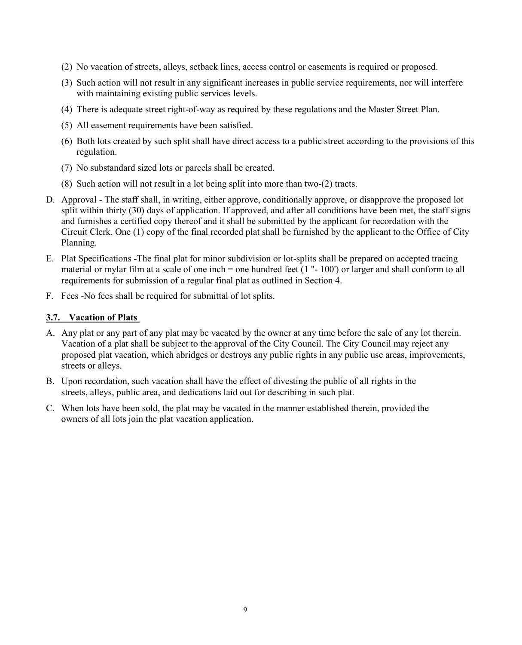- (2) No vacation of streets, alleys, setback lines, access control or easements is required or proposed.
- (3) Such action will not result in any significant increases in public service requirements, nor will interfere with maintaining existing public services levels.
- (4) There is adequate street right-of-way as required by these regulations and the Master Street Plan.
- (5) All easement requirements have been satisfied.
- (6) Both lots created by such split shall have direct access to a public street according to the provisions of this regulation.
- (7) No substandard sized lots or parcels shall be created.
- (8) Such action will not result in a lot being split into more than two-(2) tracts.
- D. Approval The staff shall, in writing, either approve, conditionally approve, or disapprove the proposed lot split within thirty (30) days of application. If approved, and after all conditions have been met, the staff signs and furnishes a certified copy thereof and it shall be submitted by the applicant for recordation with the Circuit Clerk. One (1) copy of the final recorded plat shall be furnished by the applicant to the Office of City Planning.
- E. Plat Specifications -The final plat for minor subdivision or lot-splits shall be prepared on accepted tracing material or mylar film at a scale of one inch = one hundred feet (1 "- 100') or larger and shall conform to all requirements for submission of a regular final plat as outlined in Section 4.
- F. Fees -No fees shall be required for submittal of lot splits.

## <span id="page-11-0"></span>**3.7. Vacation of Plats**

- A. Any plat or any part of any plat may be vacated by the owner at any time before the sale of any lot therein. Vacation of a plat shall be subject to the approval of the City Council. The City Council may reject any proposed plat vacation, which abridges or destroys any public rights in any public use areas, improvements, streets or alleys.
- B. Upon recordation, such vacation shall have the effect of divesting the public of all rights in the streets, alleys, public area, and dedications laid out for describing in such plat.
- C. When lots have been sold, the plat may be vacated in the manner established therein, provided the owners of all lots join the plat vacation application.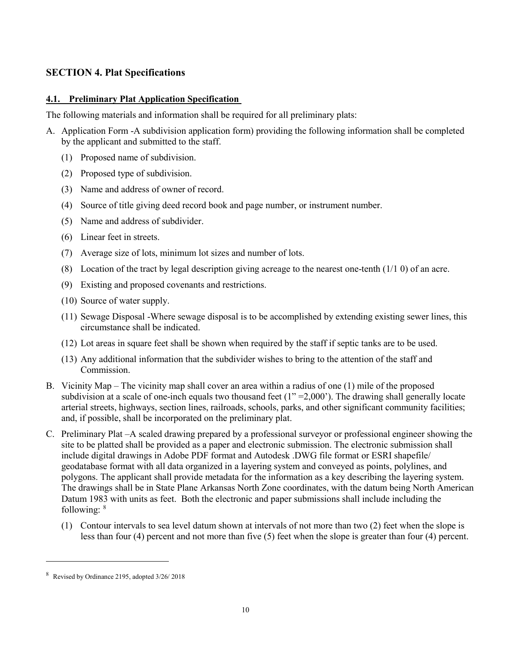# <span id="page-12-0"></span>**SECTION 4. Plat Specifications**

## <span id="page-12-1"></span>**4.1. Preliminary Plat Application Specification**

The following materials and information shall be required for all preliminary plats:

- A. Application Form -A subdivision application form) providing the following information shall be completed by the applicant and submitted to the staff.
	- (1) Proposed name of subdivision.
	- (2) Proposed type of subdivision.
	- (3) Name and address of owner of record.
	- (4) Source of title giving deed record book and page number, or instrument number.
	- (5) Name and address of subdivider.
	- (6) Linear feet in streets.
	- (7) Average size of lots, minimum lot sizes and number of lots.
	- (8) Location of the tract by legal description giving acreage to the nearest one-tenth  $(1/1\ 0)$  of an acre.
	- (9) Existing and proposed covenants and restrictions.
	- (10) Source of water supply.
	- (11) Sewage Disposal -Where sewage disposal is to be accomplished by extending existing sewer lines, this circumstance shall be indicated.
	- (12) Lot areas in square feet shall be shown when required by the staff if septic tanks are to be used.
	- (13) Any additional information that the subdivider wishes to bring to the attention of the staff and Commission.
- B. Vicinity Map The vicinity map shall cover an area within a radius of one (1) mile of the proposed subdivision at a scale of one-inch equals two thousand feet  $(1" = 2,000')$ . The drawing shall generally locate arterial streets, highways, section lines, railroads, schools, parks, and other significant community facilities; and, if possible, shall be incorporated on the preliminary plat.
- C. Preliminary Plat –A scaled drawing prepared by a professional surveyor or professional engineer showing the site to be platted shall be provided as a paper and electronic submission. The electronic submission shall include digital drawings in Adobe PDF format and Autodesk .DWG file format or ESRI shapefile/ geodatabase format with all data organized in a layering system and conveyed as points, polylines, and polygons. The applicant shall provide metadata for the information as a key describing the layering system. The drawings shall be in State Plane Arkansas North Zone coordinates, with the datum being North American Datum 1983 with units as feet. Both the electronic and paper submissions shall include including the following: [8](#page-12-2)
	- (1) Contour intervals to sea level datum shown at intervals of not more than two (2) feet when the slope is less than four (4) percent and not more than five (5) feet when the slope is greater than four (4) percent.

<span id="page-12-2"></span><sup>8</sup> Revised by Ordinance 2195, adopted 3/26/ 2018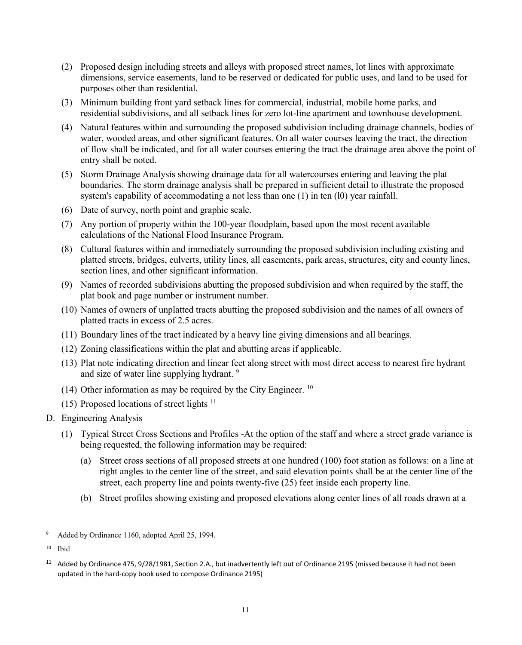- (2) Proposed design including streets and alleys with proposed street names, lot lines with approximate dimensions, service easements, land to be reserved or dedicated for public uses, and land to be used for purposes other than residential.
- (3) Minimum building front yard setback lines for commercial, industrial, mobile home parks, and residential subdivisions, and all setback lines for zero lot-line apartment and townhouse development.
- (4) Natural features within and surrounding the proposed subdivision including drainage channels, bodies of water, wooded areas, and other significant features. On all water courses leaving the tract, the direction of flow shall be indicated, and for all water courses entering the tract the drainage area above the point of entry shall be noted.
- (5) Storm Drainage Analysis showing drainage data for all watercourses entering and leaving the plat boundaries. The storm drainage analysis shall be prepared in sufficient detail to illustrate the proposed system's capability of accommodating a not less than one (1) in ten (10) year rainfall.
- (6) Date of survey, north point and graphic scale.
- (7) Any portion of property within the 100-year floodplain, based upon the most recent available calculations of the National Flood Insurance Program.
- (8) Cultural features within and immediately surrounding the proposed subdivision including existing and platted streets, bridges, culverts, utility lines, all easements, park areas, structures, city and county lines, section lines, and other significant information.
- (9) Names of recorded subdivisions abutting the proposed subdivision and when required by the staff, the plat book and page number or instrument number.
- (10) Names of owners of unplatted tracts abutting the proposed subdivision and the names of all owners of platted tracts in excess of 2.5 acres.
- (11) Boundary lines of the tract indicated by a heavy line giving dimensions and all bearings.
- (12) Zoning classifications within the plat and abutting areas if applicable.
- (13) Plat note indicating direction and linear feet along street with most direct access to nearest fire hydrant and size of water line supplying hydrant. [9](#page-13-0)
- (14) Other information as may be required by the City Engineer. [10](#page-13-1)
- (15) Proposed locations of street lights  $11$
- D. Engineering Analysis
	- (1) Typical Street Cross Sections and Profiles -At the option of the staff and where a street grade variance is being requested, the following information may be required:
		- (a) Street cross sections of all proposed streets at one hundred (100) foot station as follows: on a line at right angles to the center line of the street, and said elevation points shall be at the center line of the street, each property line and points twenty-five (25) feet inside each property line.
		- (b) Street profiles showing existing and proposed elevations along center lines of all roads drawn at a

<span id="page-13-0"></span><sup>&</sup>lt;sup>9</sup> Added by Ordinance 1160, adopted April 25, 1994.

<span id="page-13-1"></span> $10$  Ibid

<span id="page-13-2"></span><sup>&</sup>lt;sup>11</sup> Added by Ordinance 475, 9/28/1981, Section 2.A., but inadvertently left out of Ordinance 2195 (missed because it had not been updated in the hard-copy book used to compose Ordinance 2195)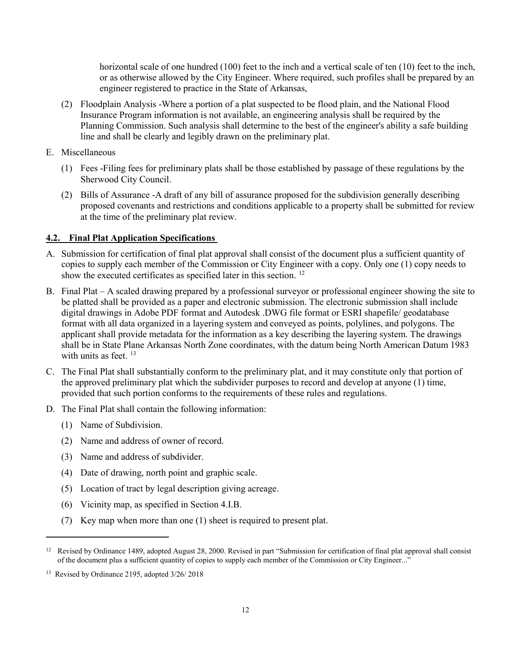horizontal scale of one hundred (100) feet to the inch and a vertical scale of ten (10) feet to the inch, or as otherwise allowed by the City Engineer. Where required, such profiles shall be prepared by an engineer registered to practice in the State of Arkansas,

- (2) Floodplain Analysis -Where a portion of a plat suspected to be flood plain, and the National Flood Insurance Program information is not available, an engineering analysis shall be required by the Planning Commission. Such analysis shall determine to the best of the engineer's ability a safe building line and shall be clearly and legibly drawn on the preliminary plat.
- E. Miscellaneous
	- (1) Fees -Filing fees for preliminary plats shall be those established by passage of these regulations by the Sherwood City Council.
	- (2) Bills of Assurance -A draft of any bill of assurance proposed for the subdivision generally describing proposed covenants and restrictions and conditions applicable to a property shall be submitted for review at the time of the preliminary plat review.

## <span id="page-14-0"></span>**4.2. Final Plat Application Specifications**

- A. Submission for certification of final plat approval shall consist of the document plus a sufficient quantity of copies to supply each member of the Commission or City Engineer with a copy. Only one (1) copy needs to show the executed certificates as specified later in this section. [12](#page-14-1)
- B. Final Plat A scaled drawing prepared by a professional surveyor or professional engineer showing the site to be platted shall be provided as a paper and electronic submission. The electronic submission shall include digital drawings in Adobe PDF format and Autodesk .DWG file format or ESRI shapefile/ geodatabase format with all data organized in a layering system and conveyed as points, polylines, and polygons. The applicant shall provide metadata for the information as a key describing the layering system. The drawings shall be in State Plane Arkansas North Zone coordinates, with the datum being North American Datum 1983 with units as feet.<sup>[13](#page-14-2)</sup>
- C. The Final Plat shall substantially conform to the preliminary plat, and it may constitute only that portion of the approved preliminary plat which the subdivider purposes to record and develop at anyone (1) time, provided that such portion conforms to the requirements of these rules and regulations.
- D. The Final Plat shall contain the following information:
	- (1) Name of Subdivision.
	- (2) Name and address of owner of record.
	- (3) Name and address of subdivider.
	- (4) Date of drawing, north point and graphic scale.
	- (5) Location of tract by legal description giving acreage.
	- (6) Vicinity map, as specified in Section 4.I.B.
	- (7) Key map when more than one (1) sheet is required to present plat.

<span id="page-14-1"></span><sup>&</sup>lt;sup>12</sup> Revised by Ordinance 1489, adopted August 28, 2000. Revised in part "Submission for certification of final plat approval shall consist of the document plus a sufficient quantity of copies to supply each member of the Commission or City Engineer..."

<span id="page-14-2"></span><sup>&</sup>lt;sup>13</sup> Revised by Ordinance 2195, adopted 3/26/2018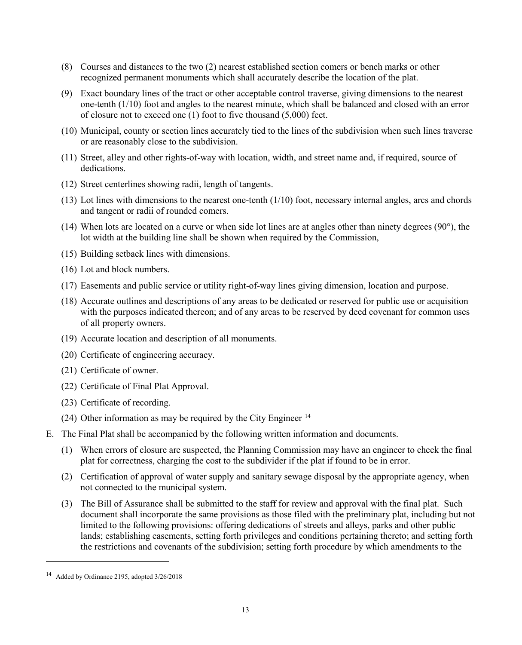- (8) Courses and distances to the two (2) nearest established section comers or bench marks or other recognized permanent monuments which shall accurately describe the location of the plat.
- (9) Exact boundary lines of the tract or other acceptable control traverse, giving dimensions to the nearest one-tenth (1/10) foot and angles to the nearest minute, which shall be balanced and closed with an error of closure not to exceed one (1) foot to five thousand (5,000) feet.
- (10) Municipal, county or section lines accurately tied to the lines of the subdivision when such lines traverse or are reasonably close to the subdivision.
- (11) Street, alley and other rights-of-way with location, width, and street name and, if required, source of dedications.
- (12) Street centerlines showing radii, length of tangents.
- (13) Lot lines with dimensions to the nearest one-tenth (1/10) foot, necessary internal angles, arcs and chords and tangent or radii of rounded comers.
- (14) When lots are located on a curve or when side lot lines are at angles other than ninety degrees (90°), the lot width at the building line shall be shown when required by the Commission,
- (15) Building setback lines with dimensions.
- (16) Lot and block numbers.
- (17) Easements and public service or utility right-of-way lines giving dimension, location and purpose.
- (18) Accurate outlines and descriptions of any areas to be dedicated or reserved for public use or acquisition with the purposes indicated thereon; and of any areas to be reserved by deed covenant for common uses of all property owners.
- (19) Accurate location and description of all monuments.
- (20) Certificate of engineering accuracy.
- (21) Certificate of owner.
- (22) Certificate of Final Plat Approval.
- (23) Certificate of recording.
- (24) Other information as may be required by the City Engineer [14](#page-15-0)
- E. The Final Plat shall be accompanied by the following written information and documents.
	- (1) When errors of closure are suspected, the Planning Commission may have an engineer to check the final plat for correctness, charging the cost to the subdivider if the plat if found to be in error.
	- (2) Certification of approval of water supply and sanitary sewage disposal by the appropriate agency, when not connected to the municipal system.
	- (3) The Bill of Assurance shall be submitted to the staff for review and approval with the final plat. Such document shall incorporate the same provisions as those filed with the preliminary plat, including but not limited to the following provisions: offering dedications of streets and alleys, parks and other public lands; establishing easements, setting forth privileges and conditions pertaining thereto; and setting forth the restrictions and covenants of the subdivision; setting forth procedure by which amendments to the

<span id="page-15-0"></span><sup>14</sup> Added by Ordinance 2195, adopted 3/26/2018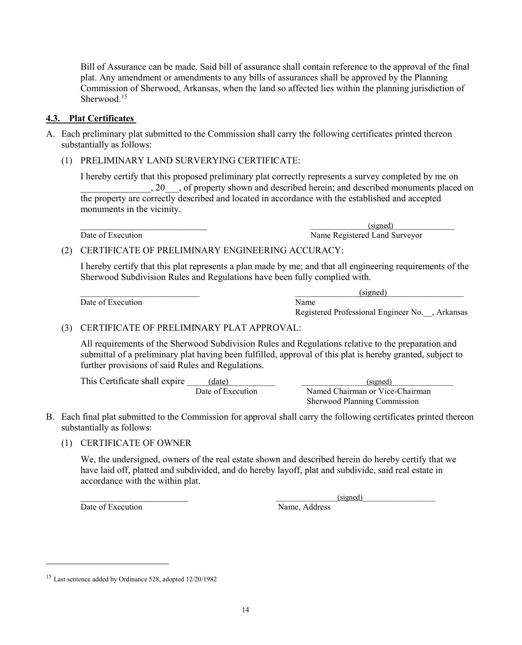Bill of Assurance can be made. Said bill of assurance shall contain reference to the approval of the final plat. Any amendment or amendments to any bills of assurances shall be approved by the Planning Commission of Sherwood, Arkansas, when the land so affected lies within the planning jurisdiction of Sherwood.<sup>15</sup>

## <span id="page-16-0"></span>**4.3. Plat Certificates**

A. Each preliminary plat submitted to the Commission shall carry the following certificates printed thereon substantially as follows:

## (1) PRELIMINARY LAND SURVERYING CERTIFICATE:

I hereby certify that this proposed preliminary plat correctly represents a survey completed by me on \_\_\_\_\_\_\_\_\_\_\_\_\_\_\_, 20\_\_\_, of property shown and described herein; and described monuments placed on the property are correctly described and located in accordance with the established and accepted monuments in the vicinity.

\_\_\_\_\_\_\_\_\_\_\_\_\_\_\_\_\_\_\_\_\_\_\_\_\_\_\_ \_\_\_\_\_\_\_\_\_\_\_\_\_\_\_(signed)\_\_\_\_\_\_\_\_\_\_\_\_\_\_\_\_ Date of Execution Name Registered Land Surveyor

## (2) CERTIFICATE OF PRELIMINARY ENGINEERING ACCURACY:

I hereby certify that this plat represents a plan made by me; and that all engineering requirements of the Sherwood Subdivision Rules and Regulations have been fully complied with.

 $\overline{\text{Date of Execution}}$  Name

\_\_\_\_\_\_\_\_\_\_\_\_\_\_\_\_\_\_\_\_\_\_\_\_\_\_\_\_ \_\_\_\_\_\_\_\_\_\_\_\_\_\_\_(signed)\_\_\_\_\_\_\_\_\_\_\_\_\_\_\_\_\_\_

Registered Professional Engineer No.\_\_, Arkansas

## (3) CERTIFICATE OF PRELIMINARY PLAT APPROVAL:

All requirements of the Sherwood Subdivision Rules and Regulations relative to the preparation and submittal of a preliminary plat having been fulfilled, approval of this plat is hereby granted, subject to further provisions of said Rules and Regulations.

This Certificate shall expire \_\_\_\_\_(date)\_\_\_\_\_\_\_\_\_\_\_ \_\_\_\_\_\_\_\_\_\_\_\_\_\_\_\_\_(signed)\_\_\_\_\_\_\_\_\_\_\_\_\_\_\_\_ Date of Execution Named Chairman or Vice-Chairman Sherwood Planning Commission

- B. Each final plat submitted to the Commission for approval shall carry the following certificates printed thereon substantially as follows:
	- (1) CERTIFICATE OF OWNER

We, the undersigned, owners of the real estate shown and described herein do hereby certify that we have laid off, platted and subdivided, and do hereby layoff, plat and subdivide, said real estate in accordance with the within plat.

Date of Execution Name, Address

**.** 

\_\_\_\_\_\_\_\_\_\_\_\_\_\_\_\_\_\_\_\_\_\_\_ \_\_\_\_\_\_\_\_\_\_\_\_\_\_\_\_(signed)\_\_\_\_\_\_\_\_\_\_\_\_\_\_\_\_\_\_\_

<span id="page-16-1"></span><sup>15</sup> Last sentence added by Ordinance 528, adopted 12/20/1982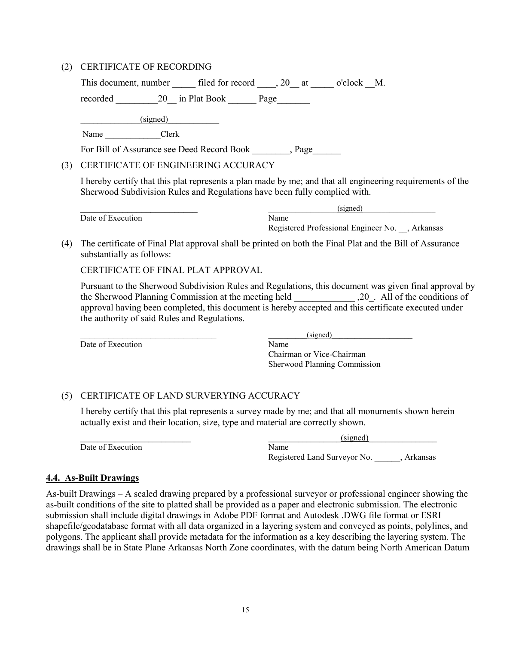## (2) CERTIFICATE OF RECORDING

|     | This document, number ________ filed for record _____, 20 ____ at ________ o'clock ___ M.                                                                                                                                                                                                                 |      |                                                 |  |
|-----|-----------------------------------------------------------------------------------------------------------------------------------------------------------------------------------------------------------------------------------------------------------------------------------------------------------|------|-------------------------------------------------|--|
|     | recorded 20 in Plat Book Page                                                                                                                                                                                                                                                                             |      |                                                 |  |
|     | (signed)                                                                                                                                                                                                                                                                                                  |      |                                                 |  |
|     | Name Clerk                                                                                                                                                                                                                                                                                                |      |                                                 |  |
|     | For Bill of Assurance see Deed Record Book _______, Page                                                                                                                                                                                                                                                  |      |                                                 |  |
| (3) | CERTIFICATE OF ENGINEERING ACCURACY                                                                                                                                                                                                                                                                       |      |                                                 |  |
|     | I hereby certify that this plat represents a plan made by me; and that all engineering requirements of the<br>Sherwood Subdivision Rules and Regulations have been fully complied with.                                                                                                                   |      |                                                 |  |
|     |                                                                                                                                                                                                                                                                                                           |      | (signed)                                        |  |
|     | Date of Execution                                                                                                                                                                                                                                                                                         | Name |                                                 |  |
| (1) | $\mathbf{T}^{11}$ , $\mathbf{1}^{10}$ , $\mathbf{1}^{11}$ , $\mathbf{1}^{11}$ , $\mathbf{1}^{11}$ , $\mathbf{1}^{11}$ , $\mathbf{1}^{11}$ , $\mathbf{1}^{11}$ , $\mathbf{1}^{11}$ , $\mathbf{1}^{11}$ , $\mathbf{1}^{11}$ , $\mathbf{1}^{11}$ , $\mathbf{1}^{11}$ , $\mathbf{1}^{11}$ , $\mathbf{1}^{11}$ |      | Registered Professional Engineer No. , Arkansas |  |

(4) The certificate of Final Plat approval shall be printed on both the Final Plat and the Bill of Assurance substantially as follows:

CERTIFICATE OF FINAL PLAT APPROVAL

Pursuant to the Sherwood Subdivision Rules and Regulations, this document was given final approval by the Sherwood Planning Commission at the meeting held ... ,20. All of the conditions of approval having been completed, this document is hereby accepted and this certificate executed under the authority of said Rules and Regulations.

Date of Execution Name

\_\_\_\_\_\_\_\_\_\_\_\_\_\_\_\_\_\_\_\_\_\_\_\_\_\_\_\_\_ \_\_\_\_\_\_\_\_\_\_(signed)\_\_\_\_\_\_\_\_\_\_\_\_\_\_\_\_\_\_\_\_\_

Chairman or Vice-Chairman Sherwood Planning Commission

## (5) CERTIFICATE OF LAND SURVERYING ACCURACY

I hereby certify that this plat represents a survey made by me; and that all monuments shown herein actually exist and their location, size, type and material are correctly shown.

|                   | 'signed                                  |
|-------------------|------------------------------------------|
| Date of Execution | Name                                     |
|                   | Registered Land Surveyor No.<br>Arkansas |

## <span id="page-17-0"></span>**4.4. As-Built Drawings**

As-built Drawings – A scaled drawing prepared by a professional surveyor or professional engineer showing the as-built conditions of the site to platted shall be provided as a paper and electronic submission. The electronic submission shall include digital drawings in Adobe PDF format and Autodesk .DWG file format or ESRI shapefile/geodatabase format with all data organized in a layering system and conveyed as points, polylines, and polygons. The applicant shall provide metadata for the information as a key describing the layering system. The drawings shall be in State Plane Arkansas North Zone coordinates, with the datum being North American Datum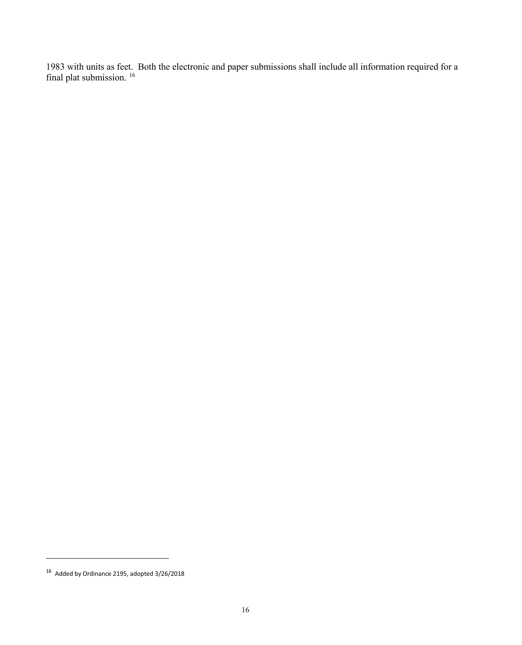1983 with units as feet. Both the electronic and paper submissions shall include all information required for a final plat submission.<sup>[16](#page-18-0)</sup>

<u>.</u>

<span id="page-18-0"></span> $16$  Added by Ordinance 2195, adopted 3/26/2018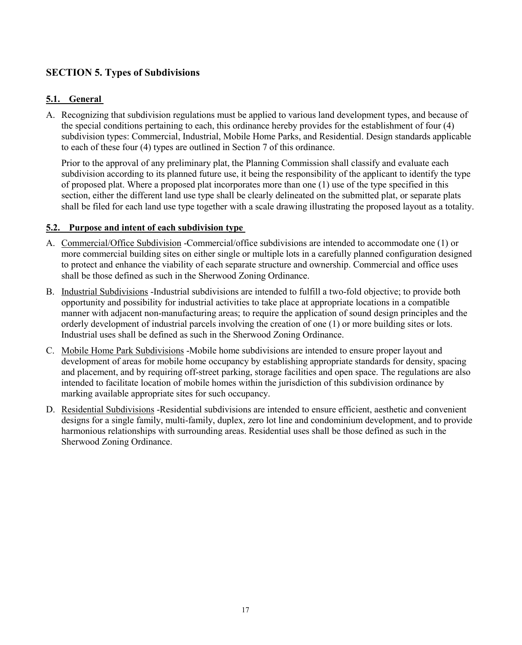# <span id="page-19-0"></span>**SECTION 5. Types of Subdivisions**

# <span id="page-19-1"></span>**5.1. General**

A. Recognizing that subdivision regulations must be applied to various land development types, and because of the special conditions pertaining to each, this ordinance hereby provides for the establishment of four (4) subdivision types: Commercial, Industrial, Mobile Home Parks, and Residential. Design standards applicable to each of these four (4) types are outlined in Section 7 of this ordinance.

Prior to the approval of any preliminary plat, the Planning Commission shall classify and evaluate each subdivision according to its planned future use, it being the responsibility of the applicant to identify the type of proposed plat. Where a proposed plat incorporates more than one (1) use of the type specified in this section, either the different land use type shall be clearly delineated on the submitted plat, or separate plats shall be filed for each land use type together with a scale drawing illustrating the proposed layout as a totality.

## <span id="page-19-2"></span>**5.2. Purpose and intent of each subdivision type**

- A. Commercial/Office Subdivision -Commercial/office subdivisions are intended to accommodate one (1) or more commercial building sites on either single or multiple lots in a carefully planned configuration designed to protect and enhance the viability of each separate structure and ownership. Commercial and office uses shall be those defined as such in the Sherwood Zoning Ordinance.
- B. Industrial Subdivisions -Industrial subdivisions are intended to fulfill a two-fold objective; to provide both opportunity and possibility for industrial activities to take place at appropriate locations in a compatible manner with adjacent non-manufacturing areas; to require the application of sound design principles and the orderly development of industrial parcels involving the creation of one (1) or more building sites or lots. Industrial uses shall be defined as such in the Sherwood Zoning Ordinance.
- C. Mobile Home Park Subdivisions -Mobile home subdivisions are intended to ensure proper layout and development of areas for mobile home occupancy by establishing appropriate standards for density, spacing and placement, and by requiring off-street parking, storage facilities and open space. The regulations are also intended to facilitate location of mobile homes within the jurisdiction of this subdivision ordinance by marking available appropriate sites for such occupancy.
- D. Residential Subdivisions -Residential subdivisions are intended to ensure efficient, aesthetic and convenient designs for a single family, multi-family, duplex, zero lot line and condominium development, and to provide harmonious relationships with surrounding areas. Residential uses shall be those defined as such in the Sherwood Zoning Ordinance.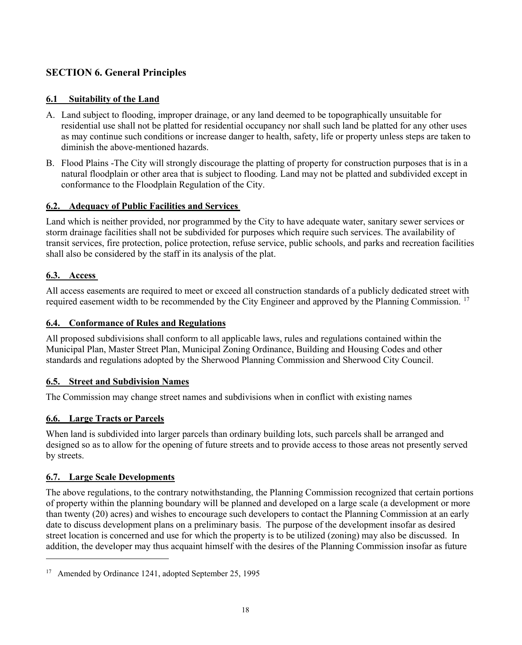# <span id="page-20-0"></span>**SECTION 6. General Principles**

## <span id="page-20-1"></span>**6.1 Suitability of the Land**

- A. Land subject to flooding, improper drainage, or any land deemed to be topographically unsuitable for residential use shall not be platted for residential occupancy nor shall such land be platted for any other uses as may continue such conditions or increase danger to health, safety, life or property unless steps are taken to diminish the above-mentioned hazards.
- B. Flood Plains -The City will strongly discourage the platting of property for construction purposes that is in a natural floodplain or other area that is subject to flooding. Land may not be platted and subdivided except in conformance to the Floodplain Regulation of the City.

## <span id="page-20-2"></span>**6.2. Adequacy of Public Facilities and Services**

Land which is neither provided, nor programmed by the City to have adequate water, sanitary sewer services or storm drainage facilities shall not be subdivided for purposes which require such services. The availability of transit services, fire protection, police protection, refuse service, public schools, and parks and recreation facilities shall also be considered by the staff in its analysis of the plat.

## <span id="page-20-3"></span>**6.3. Access**

All access easements are required to meet or exceed all construction standards of a publicly dedicated street with required easement width to be recommended by the City Engineer and approved by the Planning Commission. <sup>[17](#page-20-8)</sup>

## <span id="page-20-4"></span>**6.4. Conformance of Rules and Regulations**

All proposed subdivisions shall conform to all applicable laws, rules and regulations contained within the Municipal Plan, Master Street Plan, Municipal Zoning Ordinance, Building and Housing Codes and other standards and regulations adopted by the Sherwood Planning Commission and Sherwood City Council.

## <span id="page-20-5"></span>**6.5. Street and Subdivision Names**

The Commission may change street names and subdivisions when in conflict with existing names

# <span id="page-20-6"></span>**6.6. Large Tracts or Parcels**

When land is subdivided into larger parcels than ordinary building lots, such parcels shall be arranged and designed so as to allow for the opening of future streets and to provide access to those areas not presently served by streets.

# <span id="page-20-7"></span>**6.7. Large Scale Developments**

**.** 

The above regulations, to the contrary notwithstanding, the Planning Commission recognized that certain portions of property within the planning boundary will be planned and developed on a large scale (a development or more than twenty (20) acres) and wishes to encourage such developers to contact the Planning Commission at an early date to discuss development plans on a preliminary basis. The purpose of the development insofar as desired street location is concerned and use for which the property is to be utilized (zoning) may also be discussed. In addition, the developer may thus acquaint himself with the desires of the Planning Commission insofar as future

<span id="page-20-8"></span><sup>&</sup>lt;sup>17</sup> Amended by Ordinance 1241, adopted September 25, 1995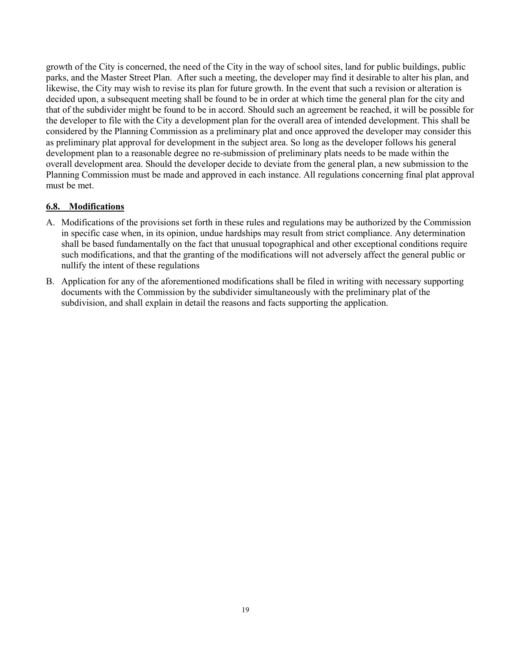growth of the City is concerned, the need of the City in the way of school sites, land for public buildings, public parks, and the Master Street Plan. After such a meeting, the developer may find it desirable to alter his plan, and likewise, the City may wish to revise its plan for future growth. In the event that such a revision or alteration is decided upon, a subsequent meeting shall be found to be in order at which time the general plan for the city and that of the subdivider might be found to be in accord. Should such an agreement be reached, it will be possible for the developer to file with the City a development plan for the overall area of intended development. This shall be considered by the Planning Commission as a preliminary plat and once approved the developer may consider this as preliminary plat approval for development in the subject area. So long as the developer follows his general development plan to a reasonable degree no re-submission of preliminary plats needs to be made within the overall development area. Should the developer decide to deviate from the general plan, a new submission to the Planning Commission must be made and approved in each instance. All regulations concerning final plat approval must be met.

## <span id="page-21-0"></span>**6.8. Modifications**

- A. Modifications of the provisions set forth in these rules and regulations may be authorized by the Commission in specific case when, in its opinion, undue hardships may result from strict compliance. Any determination shall be based fundamentally on the fact that unusual topographical and other exceptional conditions require such modifications, and that the granting of the modifications will not adversely affect the general public or nullify the intent of these regulations
- B. Application for any of the aforementioned modifications shall be filed in writing with necessary supporting documents with the Commission by the subdivider simultaneously with the preliminary plat of the subdivision, and shall explain in detail the reasons and facts supporting the application.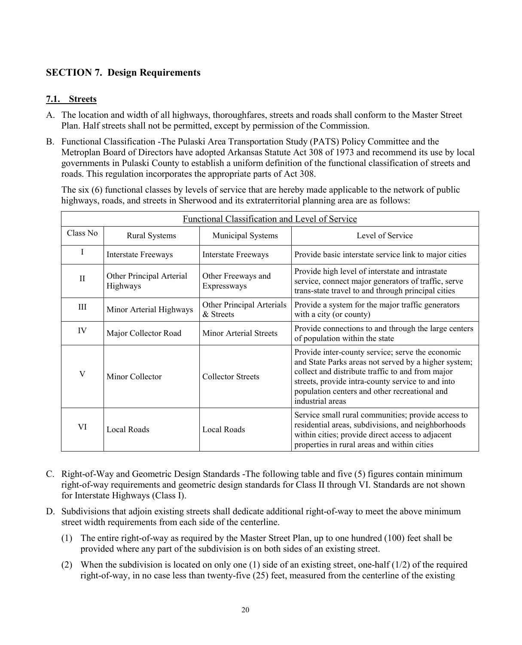# <span id="page-22-0"></span>**SECTION 7. Design Requirements**

## <span id="page-22-1"></span>**7.1. Streets**

- A. The location and width of all highways, thoroughfares, streets and roads shall conform to the Master Street Plan. Half streets shall not be permitted, except by permission of the Commission.
- B. Functional Classification -The Pulaski Area Transportation Study (PATS) Policy Committee and the Metroplan Board of Directors have adopted Arkansas Statute Act 308 of 1973 and recommend its use by local governments in Pulaski County to establish a uniform definition of the functional classification of streets and roads. This regulation incorporates the appropriate parts of Act 308.

The six (6) functional classes by levels of service that are hereby made applicable to the network of public highways, roads, and streets in Sherwood and its extraterritorial planning area are as follows:

| Functional Classification and Level of Service |                                      |                                        |                                                                                                                                                                                                                                                                                        |  |  |
|------------------------------------------------|--------------------------------------|----------------------------------------|----------------------------------------------------------------------------------------------------------------------------------------------------------------------------------------------------------------------------------------------------------------------------------------|--|--|
| Class No                                       | <b>Rural Systems</b>                 | Municipal Systems                      | Level of Service                                                                                                                                                                                                                                                                       |  |  |
| I                                              | <b>Interstate Freeways</b>           | <b>Interstate Freeways</b>             | Provide basic interstate service link to major cities                                                                                                                                                                                                                                  |  |  |
| $\mathbf{I}$                                   | Other Principal Arterial<br>Highways | Other Freeways and<br>Expressways      | Provide high level of interstate and intrastate<br>service, connect major generators of traffic, serve<br>trans-state travel to and through principal cities                                                                                                                           |  |  |
| Ш                                              | Minor Arterial Highways              | Other Principal Arterials<br>& Streets | Provide a system for the major traffic generators<br>with a city (or county)                                                                                                                                                                                                           |  |  |
| IV                                             | Major Collector Road                 | Minor Arterial Streets                 | Provide connections to and through the large centers<br>of population within the state                                                                                                                                                                                                 |  |  |
| V                                              | Minor Collector                      | <b>Collector Streets</b>               | Provide inter-county service; serve the economic<br>and State Parks areas not served by a higher system;<br>collect and distribute traffic to and from major<br>streets, provide intra-county service to and into<br>population centers and other recreational and<br>industrial areas |  |  |
| VI                                             | Local Roads                          | Local Roads                            | Service small rural communities; provide access to<br>residential areas, subdivisions, and neighborhoods<br>within cities; provide direct access to adjacent<br>properties in rural areas and within cities                                                                            |  |  |

- C. Right-of-Way and Geometric Design Standards -The following table and five (5) figures contain minimum right-of-way requirements and geometric design standards for Class II through VI. Standards are not shown for Interstate Highways (Class I).
- D. Subdivisions that adjoin existing streets shall dedicate additional right-of-way to meet the above minimum street width requirements from each side of the centerline.
	- (1) The entire right-of-way as required by the Master Street Plan, up to one hundred (100) feet shall be provided where any part of the subdivision is on both sides of an existing street.
	- (2) When the subdivision is located on only one (1) side of an existing street, one-half (1/2) of the required right-of-way, in no case less than twenty-five (25) feet, measured from the centerline of the existing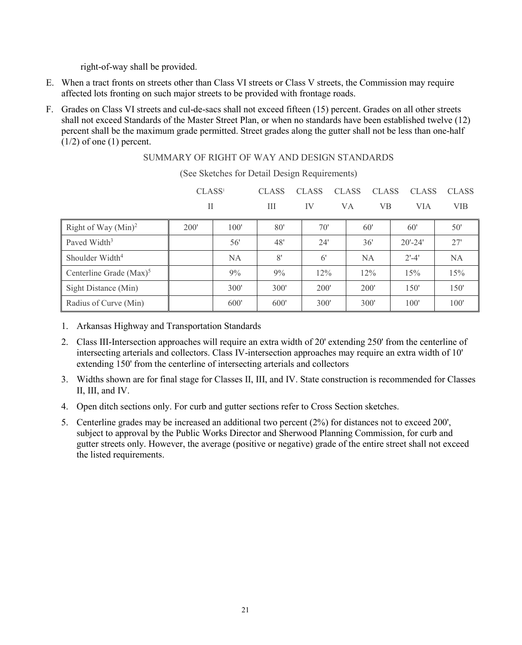right-of-way shall be provided.

- E. When a tract fronts on streets other than Class VI streets or Class V streets, the Commission may require affected lots fronting on such major streets to be provided with frontage roads.
- F. Grades on Class VI streets and cul-de-sacs shall not exceed fifteen (15) percent. Grades on all other streets shall not exceed Standards of the Master Street Plan, or when no standards have been established twelve (12) percent shall be the maximum grade permitted. Street grades along the gutter shall not be less than one-half  $(1/2)$  of one  $(1)$  percent.

## SUMMARY OF RIGHT OF WAY AND DESIGN STANDARDS

|                             | CLASS <sup>1</sup> |           | <b>CLASS</b>     | <b>CLASS</b> | <b>CLASS</b> | <b>CLASS</b> | <b>CLASS</b> | <b>CLASS</b> |
|-----------------------------|--------------------|-----------|------------------|--------------|--------------|--------------|--------------|--------------|
|                             | П                  |           | Ш                | IV           | VA           | VВ           | <b>VIA</b>   | VIB          |
| Right of Way $(Min)^2$      | 200'               | 100'      | 80'              | 70'          |              | 60'          | 60'          | 50'          |
| Payed Width <sup>3</sup>    |                    | 56'       | 48'              | 24'          |              | 36'          | $20' - 24'$  | 27'          |
| Shoulder Width <sup>4</sup> |                    | <b>NA</b> | 8'               | 6'           |              | <b>NA</b>    | $2' - 4'$    | <b>NA</b>    |
| Centerline Grade $(Max)^5$  |                    | 9%        | 9%               | 12%          |              | 12%          | 15%          | 15%          |
| Sight Distance (Min)        |                    | 300'      | 300 <sup>'</sup> | 200'         | 200'         |              | 150'         | 150'         |
| Radius of Curve (Min)       |                    | 600'      | 600'             | 300'         |              | 300'         | 100'         | 100'         |

(See Sketches for Detail Design Requirements)

1. Arkansas Highway and Transportation Standards

- 2. Class III-Intersection approaches will require an extra width of 20' extending 250' from the centerline of intersecting arterials and collectors. Class IV-intersection approaches may require an extra width of 10' extending 150' from the centerline of intersecting arterials and collectors
- 3. Widths shown are for final stage for Classes II, III, and IV. State construction is recommended for Classes II, III, and IV.
- 4. Open ditch sections only. For curb and gutter sections refer to Cross Section sketches.
- 5. Centerline grades may be increased an additional two percent (2%) for distances not to exceed 200', subject to approval by the Public Works Director and Sherwood Planning Commission, for curb and gutter streets only. However, the average (positive or negative) grade of the entire street shall not exceed the listed requirements.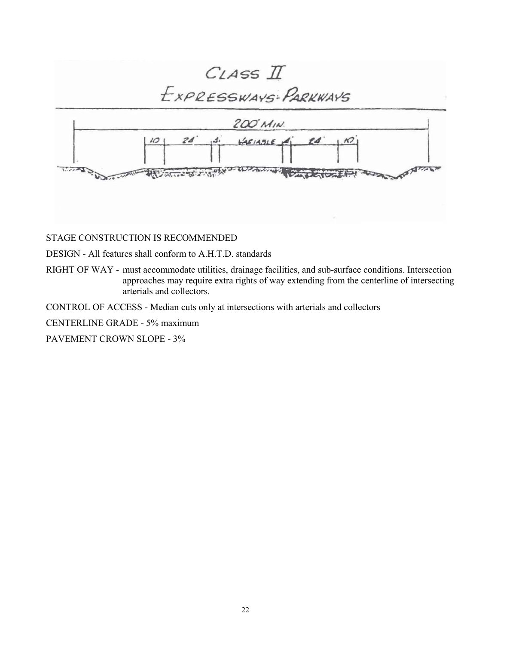

# STAGE CONSTRUCTION IS RECOMMENDED

DESIGN - All features shall conform to A.H.T.D. standards

RIGHT OF WAY - must accommodate utilities, drainage facilities, and sub-surface conditions. Intersection approaches may require extra rights of way extending from the centerline of intersecting arterials and collectors.

CONTROL OF ACCESS - Median cuts only at intersections with arterials and collectors

CENTERLINE GRADE - 5% maximum

PAVEMENT CROWN SLOPE - 3%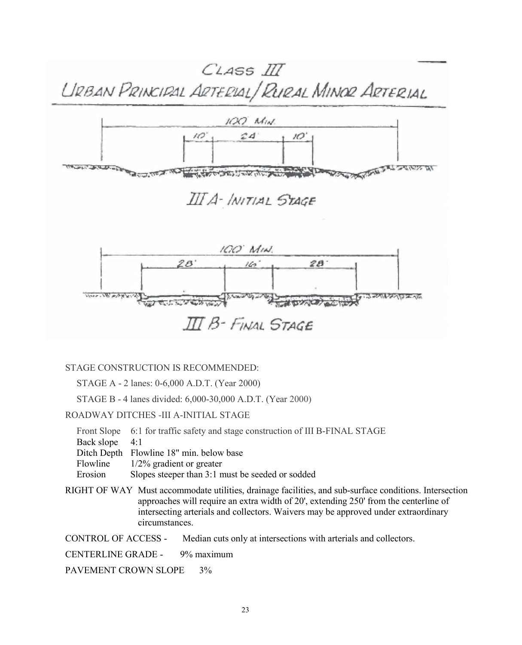



#### STAGE CONSTRUCTION IS RECOMMENDED:

STAGE A - 2 lanes: 0-6,000 A.D.T. (Year 2000)

STAGE B - 4 lanes divided: 6,000-30,000 A.D.T. (Year 2000)

ROADWAY DITCHES -III A-INITIAL STAGE

Front Slope 6:1 for traffic safety and stage construction of III B-FINAL STAGE

Back slope 4:1

Ditch Depth Flowline 18" min. below base

Flowline 1/2% gradient or greater

Erosion Slopes steeper than 3:1 must be seeded or sodded

RIGHT OF WAY Must accommodate utilities, drainage facilities, and sub-surface conditions. Intersection approaches will require an extra width of 20', extending 250' from the centerline of intersecting arterials and collectors. Waivers may be approved under extraordinary circumstances.

CONTROL OF ACCESS - Median cuts only at intersections with arterials and collectors.

CENTERLINE GRADE - 9% maximum

PAVEMENT CROWN SLOPE 3%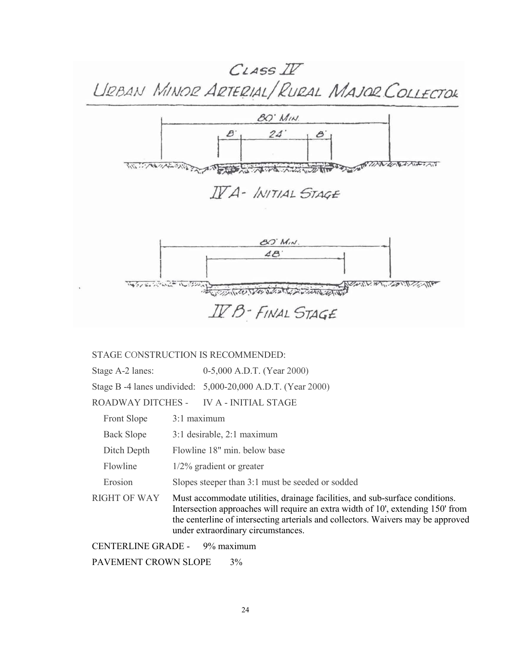

STAGE CONSTRUCTION IS RECOMMENDED:

Stage A-2 lanes: 0-5,000 A.D.T. (Year 2000)

Stage B -4 lanes undivided: 5,000-20,000 A.D.T. (Year 2000)

ROADWAY DITCHES - IV A - INITIAL STAGE

Front Slope 3:1 maximum

Back Slope 3:1 desirable, 2:1 maximum

Ditch Depth Flowline 18" min. below base

Flowline 1/2% gradient or greater

Erosion Slopes steeper than 3:1 must be seeded or sodded

RIGHT OF WAY Must accommodate utilities, drainage facilities, and sub-surface conditions. Intersection approaches will require an extra width of 10', extending 150' from the centerline of intersecting arterials and collectors. Waivers may be approved under extraordinary circumstances.

CENTERLINE GRADE - 9% maximum

PAVEMENT CROWN SLOPE 3%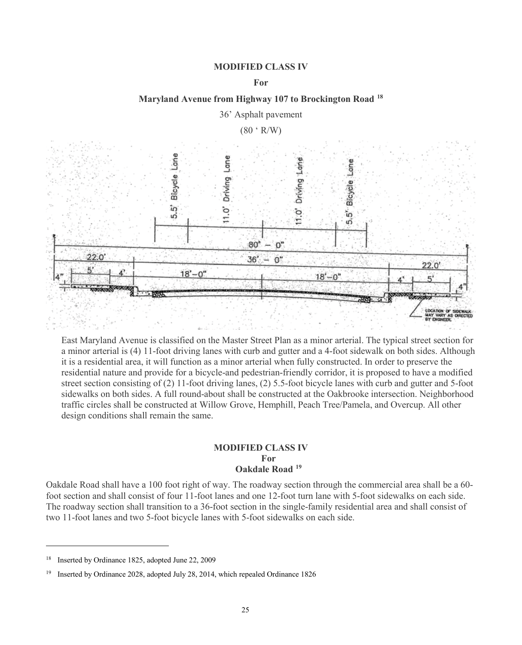#### **MODIFIED CLASS IV**

#### **For**

#### **Maryland Avenue from Highway 107 to Brockington Road [18](#page-27-0)**



East Maryland Avenue is classified on the Master Street Plan as a minor arterial. The typical street section for a minor arterial is (4) 11-foot driving lanes with curb and gutter and a 4-foot sidewalk on both sides. Although it is a residential area, it will function as a minor arterial when fully constructed. In order to preserve the residential nature and provide for a bicycle-and pedestrian-friendly corridor, it is proposed to have a modified street section consisting of (2) 11-foot driving lanes, (2) 5.5-foot bicycle lanes with curb and gutter and 5-foot sidewalks on both sides. A full round-about shall be constructed at the Oakbrooke intersection. Neighborhood traffic circles shall be constructed at Willow Grove, Hemphill, Peach Tree/Pamela, and Overcup. All other design conditions shall remain the same.

## **MODIFIED CLASS IV For Oakdale Road [19](#page-27-1)**

Oakdale Road shall have a 100 foot right of way. The roadway section through the commercial area shall be a 60 foot section and shall consist of four 11-foot lanes and one 12-foot turn lane with 5-foot sidewalks on each side. The roadway section shall transition to a 36-foot section in the single-family residential area and shall consist of two 11-foot lanes and two 5-foot bicycle lanes with 5-foot sidewalks on each side.

 $\overline{a}$ 

<span id="page-27-0"></span><sup>18</sup> Inserted by Ordinance 1825, adopted June 22, 2009

<span id="page-27-1"></span><sup>19</sup> Inserted by Ordinance 2028, adopted July 28, 2014, which repealed Ordinance 1826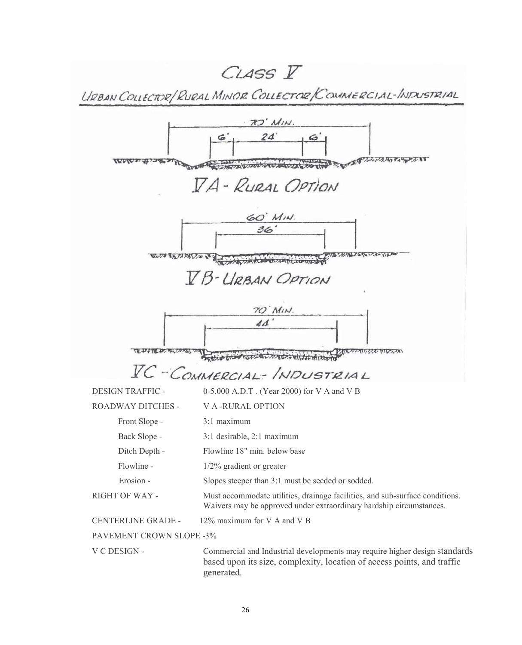# CLASS V

URBAN COLLECTOR/RURAL MINOR COLLECTOR/COUNERCIAL-INDUSTRIAL

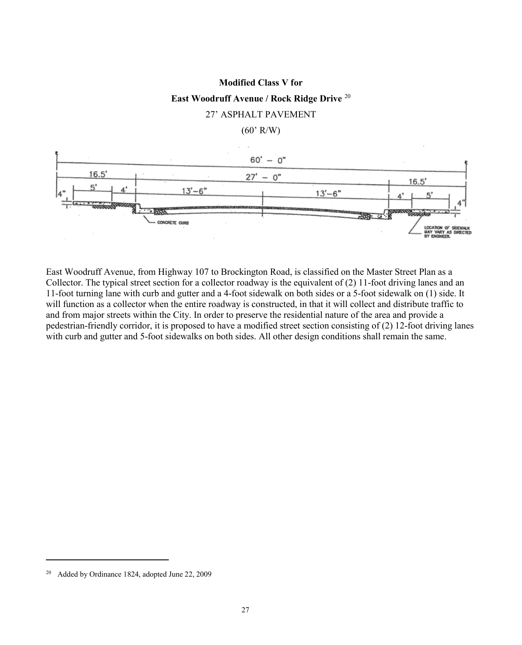# **Modified Class V for**

#### **East Woodruff Avenue / Rock Ridge Drive** [20](#page-29-0)

#### 27' ASPHALT PAVEMENT

#### (60' R/W)



East Woodruff Avenue, from Highway 107 to Brockington Road, is classified on the Master Street Plan as a Collector. The typical street section for a collector roadway is the equivalent of (2) 11-foot driving lanes and an 11-foot turning lane with curb and gutter and a 4-foot sidewalk on both sides or a 5-foot sidewalk on (1) side. It will function as a collector when the entire roadway is constructed, in that it will collect and distribute traffic to and from major streets within the City. In order to preserve the residential nature of the area and provide a pedestrian-friendly corridor, it is proposed to have a modified street section consisting of (2) 12-foot driving lanes with curb and gutter and 5-foot sidewalks on both sides. All other design conditions shall remain the same.

 $\overline{a}$ 

<span id="page-29-0"></span><sup>20</sup> Added by Ordinance 1824, adopted June 22, 2009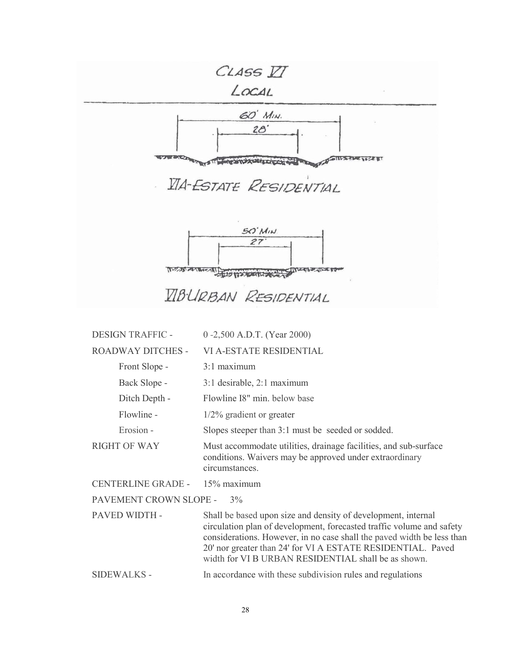

| DESIUN TRAFFIC -         | $0 - 2,300$ A.D.T. (1 ear 2000)                                                                                                                                                                                                                                                                                                        |
|--------------------------|----------------------------------------------------------------------------------------------------------------------------------------------------------------------------------------------------------------------------------------------------------------------------------------------------------------------------------------|
| <b>ROADWAY DITCHES -</b> | <b>VI A-ESTATE RESIDENTIAL</b>                                                                                                                                                                                                                                                                                                         |
| Front Slope -            | $3:1$ maximum                                                                                                                                                                                                                                                                                                                          |
| Back Slope -             | 3:1 desirable, 2:1 maximum                                                                                                                                                                                                                                                                                                             |
| Ditch Depth -            | Flowline I8" min. below base                                                                                                                                                                                                                                                                                                           |
| Flowline -               | $1/2\%$ gradient or greater                                                                                                                                                                                                                                                                                                            |
| Erosion -                | Slopes steeper than 3:1 must be seeded or sodded.                                                                                                                                                                                                                                                                                      |
| <b>RIGHT OF WAY</b>      | Must accommodate utilities, drainage facilities, and sub-surface<br>conditions. Waivers may be approved under extraordinary<br>circumstances.                                                                                                                                                                                          |
| CENTERLINE GRADE -       | 15% maximum                                                                                                                                                                                                                                                                                                                            |
| PAVEMENT CROWN SLOPE -   | $3\%$                                                                                                                                                                                                                                                                                                                                  |
| PAVED WIDTH -            | Shall be based upon size and density of development, internal<br>circulation plan of development, forecasted traffic volume and safety<br>considerations. However, in no case shall the paved width be less than<br>20' nor greater than 24' for VI A ESTATE RESIDENTIAL. Paved<br>width for VI B URBAN RESIDENTIAL shall be as shown. |
| <b>SIDEWALKS -</b>       | In accordance with these subdivision rules and regulations                                                                                                                                                                                                                                                                             |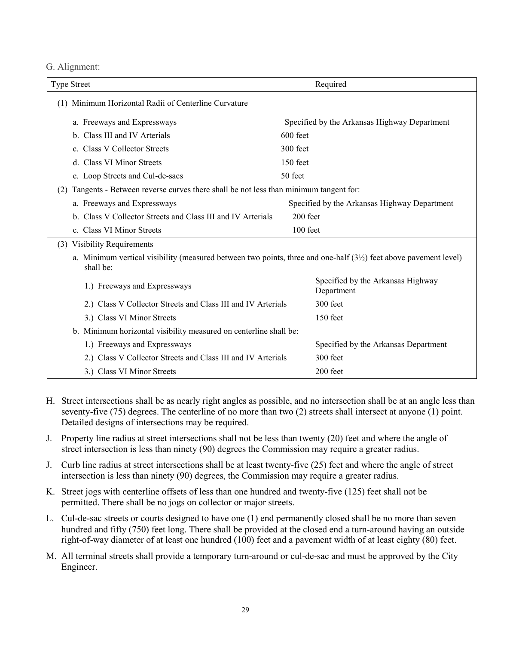|  | G. Alignment: |  |
|--|---------------|--|
|--|---------------|--|

| <b>Type Street</b>                                                                                                                       | Required                                        |
|------------------------------------------------------------------------------------------------------------------------------------------|-------------------------------------------------|
| (1) Minimum Horizontal Radii of Centerline Curvature                                                                                     |                                                 |
| a. Freeways and Expressways                                                                                                              | Specified by the Arkansas Highway Department    |
| b. Class III and IV Arterials                                                                                                            | $600$ feet                                      |
| c. Class V Collector Streets                                                                                                             | 300 feet                                        |
| d. Class VI Minor Streets                                                                                                                | $150$ feet                                      |
| e. Loop Streets and Cul-de-sacs                                                                                                          | 50 feet                                         |
| Tangents - Between reverse curves there shall be not less than minimum tangent for:<br>(2)                                               |                                                 |
| a. Freeways and Expressways                                                                                                              | Specified by the Arkansas Highway Department    |
| b. Class V Collector Streets and Class III and IV Arterials                                                                              | $200$ feet                                      |
| c. Class VI Minor Streets                                                                                                                | 100 feet                                        |
| (3) Visibility Requirements                                                                                                              |                                                 |
| a. Minimum vertical visibility (measured between two points, three and one-half $(3\frac{1}{2})$ feet above pavement level)<br>shall be: |                                                 |
| 1.) Freeways and Expressways                                                                                                             | Specified by the Arkansas Highway<br>Department |
| 2.) Class V Collector Streets and Class III and IV Arterials                                                                             | 300 feet                                        |
| 3.) Class VI Minor Streets                                                                                                               | $150$ feet                                      |
| b. Minimum horizontal visibility measured on centerline shall be:                                                                        |                                                 |
| 1.) Freeways and Expressways                                                                                                             | Specified by the Arkansas Department            |
| 2.) Class V Collector Streets and Class III and IV Arterials                                                                             | $300$ feet                                      |
| 3.) Class VI Minor Streets                                                                                                               | $200$ feet                                      |

- H. Street intersections shall be as nearly right angles as possible, and no intersection shall be at an angle less than seventy-five (75) degrees. The centerline of no more than two (2) streets shall intersect at anyone (1) point. Detailed designs of intersections may be required.
- J. Property line radius at street intersections shall not be less than twenty (20) feet and where the angle of street intersection is less than ninety (90) degrees the Commission may require a greater radius.
- J. Curb line radius at street intersections shall be at least twenty-five (25) feet and where the angle of street intersection is less than ninety (90) degrees, the Commission may require a greater radius.
- K. Street jogs with centerline offsets of less than one hundred and twenty-five (125) feet shall not be permitted. There shall be no jogs on collector or major streets.
- L. Cul-de-sac streets or courts designed to have one (1) end permanently closed shall be no more than seven hundred and fifty (750) feet long. There shall be provided at the closed end a turn-around having an outside right-of-way diameter of at least one hundred (100) feet and a pavement width of at least eighty (80) feet.
- M. All terminal streets shall provide a temporary turn-around or cul-de-sac and must be approved by the City Engineer.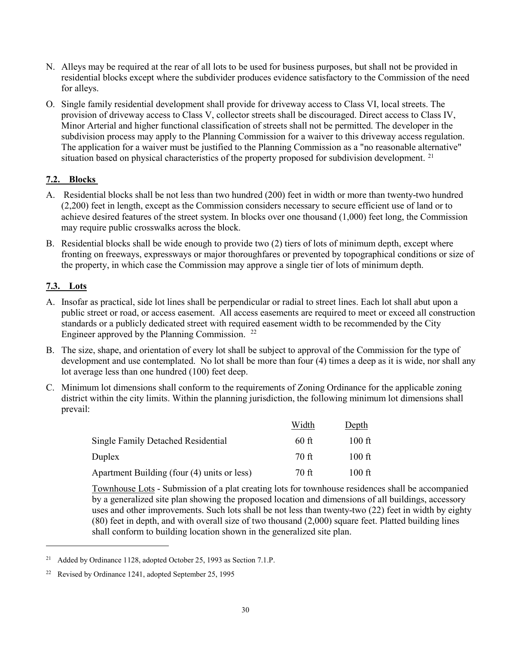- N. Alleys may be required at the rear of all lots to be used for business purposes, but shall not be provided in residential blocks except where the subdivider produces evidence satisfactory to the Commission of the need for alleys.
- O. Single family residential development shall provide for driveway access to Class VI, local streets. The provision of driveway access to Class V, collector streets shall be discouraged. Direct access to Class IV, Minor Arterial and higher functional classification of streets shall not be permitted. The developer in the subdivision process may apply to the Planning Commission for a waiver to this driveway access regulation. The application for a waiver must be justified to the Planning Commission as a "no reasonable alternative" situation based on physical characteristics of the property proposed for subdivision development. <sup>[21](#page-32-2)</sup>

## <span id="page-32-0"></span>**7.2. Blocks**

- A. Residential blocks shall be not less than two hundred (200) feet in width or more than twenty-two hundred (2,200) feet in length, except as the Commission considers necessary to secure efficient use of land or to achieve desired features of the street system. In blocks over one thousand (1,000) feet long, the Commission may require public crosswalks across the block.
- B. Residential blocks shall be wide enough to provide two (2) tiers of lots of minimum depth, except where fronting on freeways, expressways or major thoroughfares or prevented by topographical conditions or size of the property, in which case the Commission may approve a single tier of lots of minimum depth.

# <span id="page-32-1"></span>**7.3. Lots**

 $\overline{a}$ 

- A. Insofar as practical, side lot lines shall be perpendicular or radial to street lines. Each lot shall abut upon a public street or road, or access easement. All access easements are required to meet or exceed all construction standards or a publicly dedicated street with required easement width to be recommended by the City Engineer approved by the Planning Commission. [22](#page-32-3)
- B. The size, shape, and orientation of every lot shall be subject to approval of the Commission for the type of development and use contemplated. No lot shall be more than four (4) times a deep as it is wide, nor shall any lot average less than one hundred (100) feet deep.
- C. Minimum lot dimensions shall conform to the requirements of Zoning Ordinance for the applicable zoning district within the city limits. Within the planning jurisdiction, the following minimum lot dimensions shall prevail:

|                                             | Width   | Depth    |
|---------------------------------------------|---------|----------|
| Single Family Detached Residential          | $60$ ft | $100$ ft |
| Duplex                                      | 70 ft   | $100$ ft |
| Apartment Building (four (4) units or less) | 70 ft   | $100$ ft |

Townhouse Lots - Submission of a plat creating lots for townhouse residences shall be accompanied by a generalized site plan showing the proposed location and dimensions of all buildings, accessory uses and other improvements. Such lots shall be not less than twenty-two (22) feet in width by eighty (80) feet in depth, and with overall size of two thousand (2,000) square feet. Platted building lines shall conform to building location shown in the generalized site plan.

<span id="page-32-2"></span>Added by Ordinance 1128, adopted October 25, 1993 as Section 7.1.P.

<span id="page-32-3"></span><sup>22</sup> Revised by Ordinance 1241, adopted September 25, 1995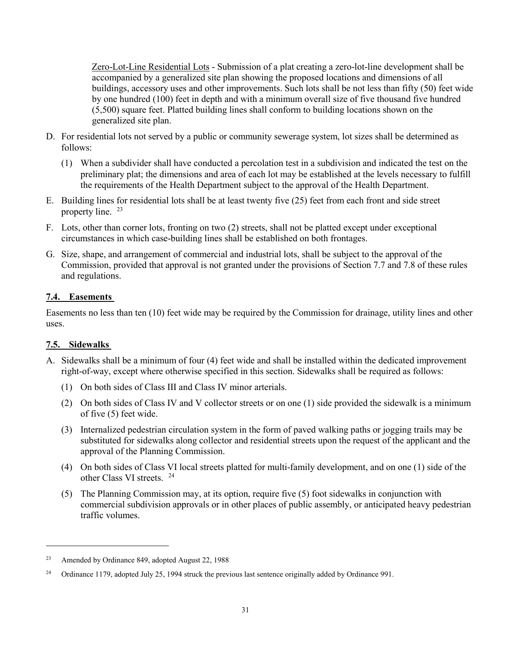Zero-Lot-Line Residential Lots - Submission of a plat creating a zero-lot-line development shall be accompanied by a generalized site plan showing the proposed locations and dimensions of all buildings, accessory uses and other improvements. Such lots shall be not less than fifty (50) feet wide by one hundred (100) feet in depth and with a minimum overall size of five thousand five hundred (5,500) square feet. Platted building lines shall conform to building locations shown on the generalized site plan.

- D. For residential lots not served by a public or community sewerage system, lot sizes shall be determined as follows:
	- (1) When a subdivider shall have conducted a percolation test in a subdivision and indicated the test on the preliminary plat; the dimensions and area of each lot may be established at the levels necessary to fulfill the requirements of the Health Department subject to the approval of the Health Department.
- E. Building lines for residential lots shall be at least twenty five (25) feet from each front and side street property line. [23](#page-33-2)
- F. Lots, other than corner lots, fronting on two (2) streets, shall not be platted except under exceptional circumstances in which case-building lines shall be established on both frontages.
- G. Size, shape, and arrangement of commercial and industrial lots, shall be subject to the approval of the Commission, provided that approval is not granted under the provisions of Section 7.7 and 7.8 of these rules and regulations.

## <span id="page-33-0"></span>**7.4. Easements**

Easements no less than ten (10) feet wide may be required by the Commission for drainage, utility lines and other uses.

## <span id="page-33-1"></span>**7.5. Sidewalks**

 $\overline{a}$ 

- A. Sidewalks shall be a minimum of four (4) feet wide and shall be installed within the dedicated improvement right-of-way, except where otherwise specified in this section. Sidewalks shall be required as follows:
	- (1) On both sides of Class III and Class IV minor arterials.
	- (2) On both sides of Class IV and V collector streets or on one (1) side provided the sidewalk is a minimum of five (5) feet wide.
	- (3) Internalized pedestrian circulation system in the form of paved walking paths or jogging trails may be substituted for sidewalks along collector and residential streets upon the request of the applicant and the approval of the Planning Commission.
	- (4) On both sides of Class VI local streets platted for multi-family development, and on one (1) side of the other Class VI streets. [24](#page-33-3)
	- (5) The Planning Commission may, at its option, require five (5) foot sidewalks in conjunction with commercial subdivision approvals or in other places of public assembly, or anticipated heavy pedestrian traffic volumes.

<span id="page-33-2"></span><sup>23</sup> Amended by Ordinance 849, adopted August 22, 1988

<span id="page-33-3"></span><sup>&</sup>lt;sup>24</sup> Ordinance 1179, adopted July 25, 1994 struck the previous last sentence originally added by Ordinance 991.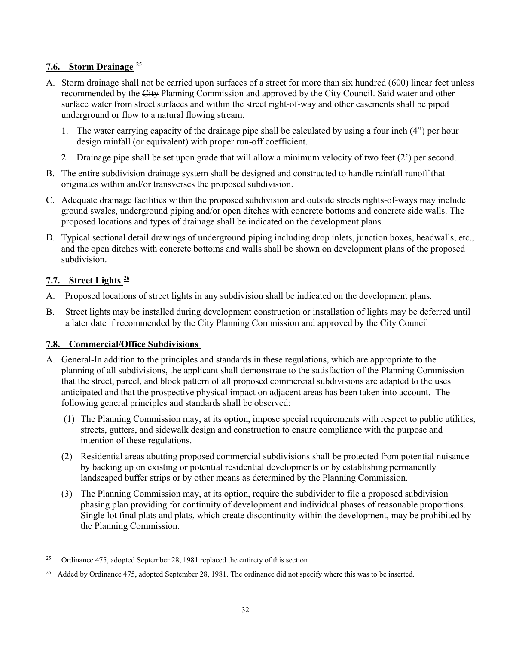# <span id="page-34-0"></span>**7.6. Storm Drainage** [25](#page-34-3)

- A. Storm drainage shall not be carried upon surfaces of a street for more than six hundred (600) linear feet unless recommended by the City Planning Commission and approved by the City Council. Said water and other surface water from street surfaces and within the street right-of-way and other easements shall be piped underground or flow to a natural flowing stream.
	- 1. The water carrying capacity of the drainage pipe shall be calculated by using a four inch (4") per hour design rainfall (or equivalent) with proper run-off coefficient.
	- 2. Drainage pipe shall be set upon grade that will allow a minimum velocity of two feet (2') per second.
- B. The entire subdivision drainage system shall be designed and constructed to handle rainfall runoff that originates within and/or transverses the proposed subdivision.
- C. Adequate drainage facilities within the proposed subdivision and outside streets rights-of-ways may include ground swales, underground piping and/or open ditches with concrete bottoms and concrete side walls. The proposed locations and types of drainage shall be indicated on the development plans.
- D. Typical sectional detail drawings of underground piping including drop inlets, junction boxes, headwalls, etc., and the open ditches with concrete bottoms and walls shall be shown on development plans of the proposed subdivision.

# <span id="page-34-1"></span>**7.7. Street Lights [26](#page-34-4)**

 $\overline{a}$ 

- A. Proposed locations of street lights in any subdivision shall be indicated on the development plans.
- B. Street lights may be installed during development construction or installation of lights may be deferred until a later date if recommended by the City Planning Commission and approved by the City Council

# <span id="page-34-2"></span>**7.8. Commercial/Office Subdivisions**

- A. General-In addition to the principles and standards in these regulations, which are appropriate to the planning of all subdivisions, the applicant shall demonstrate to the satisfaction of the Planning Commission that the street, parcel, and block pattern of all proposed commercial subdivisions are adapted to the uses anticipated and that the prospective physical impact on adjacent areas has been taken into account. The following general principles and standards shall be observed:
	- (1) The Planning Commission may, at its option, impose special requirements with respect to public utilities, streets, gutters, and sidewalk design and construction to ensure compliance with the purpose and intention of these regulations.
	- (2) Residential areas abutting proposed commercial subdivisions shall be protected from potential nuisance by backing up on existing or potential residential developments or by establishing permanently landscaped buffer strips or by other means as determined by the Planning Commission.
	- (3) The Planning Commission may, at its option, require the subdivider to file a proposed subdivision phasing plan providing for continuity of development and individual phases of reasonable proportions. Single lot final plats and plats, which create discontinuity within the development, may be prohibited by the Planning Commission.

<span id="page-34-3"></span><sup>&</sup>lt;sup>25</sup> Ordinance 475, adopted September 28, 1981 replaced the entirety of this section

<span id="page-34-4"></span><sup>&</sup>lt;sup>26</sup> Added by Ordinance 475, adopted September 28, 1981. The ordinance did not specify where this was to be inserted.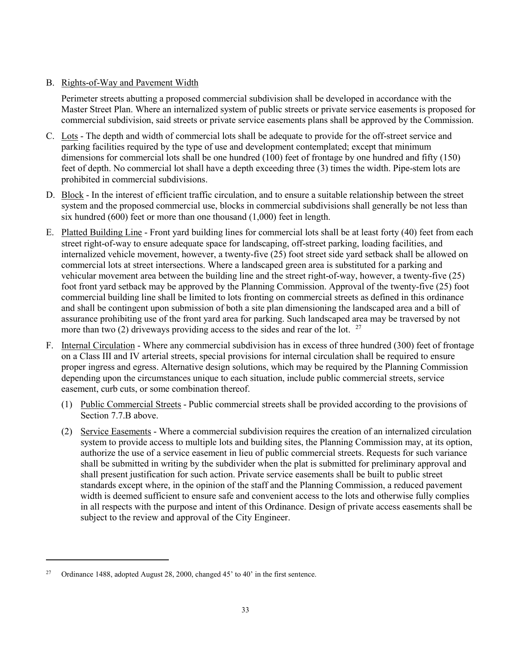## B. Rights-of-Way and Pavement Width

Perimeter streets abutting a proposed commercial subdivision shall be developed in accordance with the Master Street Plan. Where an internalized system of public streets or private service easements is proposed for commercial subdivision, said streets or private service easements plans shall be approved by the Commission.

- C. Lots The depth and width of commercial lots shall be adequate to provide for the off-street service and parking facilities required by the type of use and development contemplated; except that minimum dimensions for commercial lots shall be one hundred (100) feet of frontage by one hundred and fifty (150) feet of depth. No commercial lot shall have a depth exceeding three (3) times the width. Pipe-stem lots are prohibited in commercial subdivisions.
- D. Block In the interest of efficient traffic circulation, and to ensure a suitable relationship between the street system and the proposed commercial use, blocks in commercial subdivisions shall generally be not less than six hundred (600) feet or more than one thousand (1,000) feet in length.
- E. Platted Building Line Front yard building lines for commercial lots shall be at least forty (40) feet from each street right-of-way to ensure adequate space for landscaping, off-street parking, loading facilities, and internalized vehicle movement, however, a twenty-five (25) foot street side yard setback shall be allowed on commercial lots at street intersections. Where a landscaped green area is substituted for a parking and vehicular movement area between the building line and the street right-of-way, however, a twenty-five (25) foot front yard setback may be approved by the Planning Commission. Approval of the twenty-five (25) foot commercial building line shall be limited to lots fronting on commercial streets as defined in this ordinance and shall be contingent upon submission of both a site plan dimensioning the landscaped area and a bill of assurance prohibiting use of the front yard area for parking. Such landscaped area may be traversed by not more than two (2) driveways providing access to the sides and rear of the lot.  $27$
- F. Internal Circulation Where any commercial subdivision has in excess of three hundred (300) feet of frontage on a Class III and IV arterial streets, special provisions for internal circulation shall be required to ensure proper ingress and egress. Alternative design solutions, which may be required by the Planning Commission depending upon the circumstances unique to each situation, include public commercial streets, service easement, curb cuts, or some combination thereof.
	- (1) Public Commercial Streets Public commercial streets shall be provided according to the provisions of Section 7.7.B above.
	- (2) Service Easements Where a commercial subdivision requires the creation of an internalized circulation system to provide access to multiple lots and building sites, the Planning Commission may, at its option, authorize the use of a service easement in lieu of public commercial streets. Requests for such variance shall be submitted in writing by the subdivider when the plat is submitted for preliminary approval and shall present justification for such action. Private service easements shall be built to public street standards except where, in the opinion of the staff and the Planning Commission, a reduced pavement width is deemed sufficient to ensure safe and convenient access to the lots and otherwise fully complies in all respects with the purpose and intent of this Ordinance. Design of private access easements shall be subject to the review and approval of the City Engineer.

 $\overline{a}$ 

<span id="page-35-0"></span><sup>&</sup>lt;sup>27</sup> Ordinance 1488, adopted August 28, 2000, changed  $45'$  to  $40'$  in the first sentence.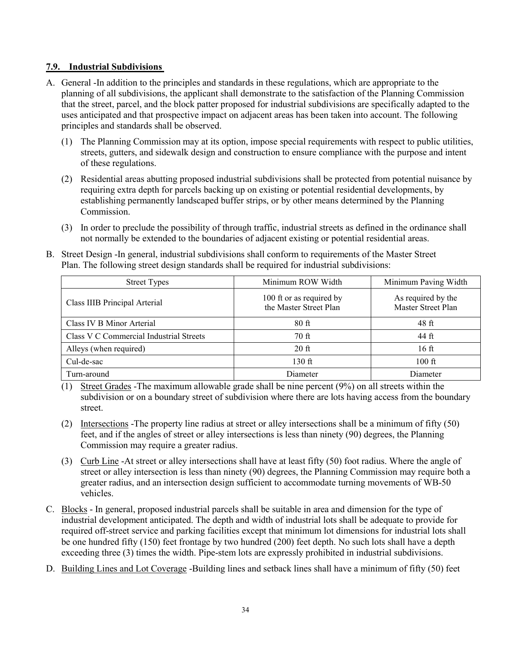## <span id="page-36-0"></span>**7.9. Industrial Subdivisions**

- A. General -In addition to the principles and standards in these regulations, which are appropriate to the planning of all subdivisions, the applicant shall demonstrate to the satisfaction of the Planning Commission that the street, parcel, and the block patter proposed for industrial subdivisions are specifically adapted to the uses anticipated and that prospective impact on adjacent areas has been taken into account. The following principles and standards shall be observed.
	- (1) The Planning Commission may at its option, impose special requirements with respect to public utilities, streets, gutters, and sidewalk design and construction to ensure compliance with the purpose and intent of these regulations.
	- (2) Residential areas abutting proposed industrial subdivisions shall be protected from potential nuisance by requiring extra depth for parcels backing up on existing or potential residential developments, by establishing permanently landscaped buffer strips, or by other means determined by the Planning Commission.
	- (3) In order to preclude the possibility of through traffic, industrial streets as defined in the ordinance shall not normally be extended to the boundaries of adjacent existing or potential residential areas.
- B. Street Design -In general, industrial subdivisions shall conform to requirements of the Master Street Plan. The following street design standards shall be required for industrial subdivisions:

| <b>Street Types</b>                     | Minimum ROW Width                                  | Minimum Paving Width                     |
|-----------------------------------------|----------------------------------------------------|------------------------------------------|
| Class IIIB Principal Arterial           | 100 ft or as required by<br>the Master Street Plan | As required by the<br>Master Street Plan |
| Class IV B Minor Arterial               | 80ft                                               | $48$ ft                                  |
| Class V C Commercial Industrial Streets | $70$ ft                                            | 44 ft                                    |
| Alleys (when required)                  | $20$ ft                                            | $16$ ft                                  |
| Cul-de-sac                              | $130$ ft                                           | $100 \text{ ft}$                         |
| Turn-around                             | Diameter                                           | Diameter                                 |

(1) Street Grades -The maximum allowable grade shall be nine percent (9%) on all streets within the subdivision or on a boundary street of subdivision where there are lots having access from the boundary street.

- (2) Intersections -The property line radius at street or alley intersections shall be a minimum of fifty (50) feet, and if the angles of street or alley intersections is less than ninety (90) degrees, the Planning Commission may require a greater radius.
- (3) Curb Line -At street or alley intersections shall have at least fifty (50) foot radius. Where the angle of street or alley intersection is less than ninety (90) degrees, the Planning Commission may require both a greater radius, and an intersection design sufficient to accommodate turning movements of WB-50 vehicles.
- C. Blocks In general, proposed industrial parcels shall be suitable in area and dimension for the type of industrial development anticipated. The depth and width of industrial lots shall be adequate to provide for required off-street service and parking facilities except that minimum lot dimensions for industrial lots shall be one hundred fifty (150) feet frontage by two hundred (200) feet depth. No such lots shall have a depth exceeding three (3) times the width. Pipe-stem lots are expressly prohibited in industrial subdivisions.
- D. Building Lines and Lot Coverage -Building lines and setback lines shall have a minimum of fifty (50) feet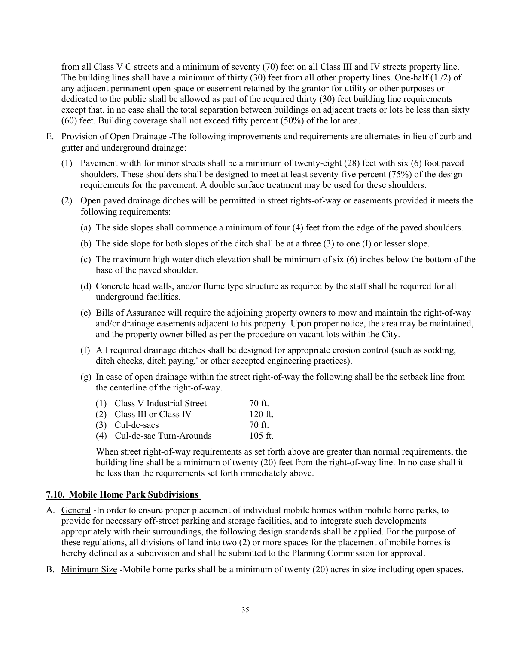from all Class V C streets and a minimum of seventy (70) feet on all Class III and IV streets property line. The building lines shall have a minimum of thirty (30) feet from all other property lines. One-half (1 /2) of any adjacent permanent open space or easement retained by the grantor for utility or other purposes or dedicated to the public shall be allowed as part of the required thirty (30) feet building line requirements except that, in no case shall the total separation between buildings on adjacent tracts or lots be less than sixty (60) feet. Building coverage shall not exceed fifty percent (50%) of the lot area.

- E. Provision of Open Drainage -The following improvements and requirements are alternates in lieu of curb and gutter and underground drainage:
	- (1) Pavement width for minor streets shall be a minimum of twenty-eight (28) feet with six (6) foot paved shoulders. These shoulders shall be designed to meet at least seventy-five percent (75%) of the design requirements for the pavement. A double surface treatment may be used for these shoulders.
	- (2) Open paved drainage ditches will be permitted in street rights-of-way or easements provided it meets the following requirements:
		- (a) The side slopes shall commence a minimum of four (4) feet from the edge of the paved shoulders.
		- (b) The side slope for both slopes of the ditch shall be at a three (3) to one (I) or lesser slope.
		- (c) The maximum high water ditch elevation shall be minimum of six (6) inches below the bottom of the base of the paved shoulder.
		- (d) Concrete head walls, and/or flume type structure as required by the staff shall be required for all underground facilities.
		- (e) Bills of Assurance will require the adjoining property owners to mow and maintain the right-of-way and/or drainage easements adjacent to his property. Upon proper notice, the area may be maintained, and the property owner billed as per the procedure on vacant lots within the City.
		- (f) All required drainage ditches shall be designed for appropriate erosion control (such as sodding, ditch checks, ditch paying,' or other accepted engineering practices).
		- (g) In case of open drainage within the street right-of-way the following shall be the setback line from the centerline of the right-of-way.
			- (1) Class V Industrial Street 70 ft. (2) Class III or Class IV 120 ft.  $(3)$  Cul-de-sacs  $70$  ft. (4) Cul-de-sac Turn-Arounds 105 ft.

When street right-of-way requirements as set forth above are greater than normal requirements, the building line shall be a minimum of twenty (20) feet from the right-of-way line. In no case shall it be less than the requirements set forth immediately above.

## <span id="page-37-0"></span>**7.10. Mobile Home Park Subdivisions**

- A. General -In order to ensure proper placement of individual mobile homes within mobile home parks, to provide for necessary off-street parking and storage facilities, and to integrate such developments appropriately with their surroundings, the following design standards shall be applied. For the purpose of these regulations, all divisions of land into two (2) or more spaces for the placement of mobile homes is hereby defined as a subdivision and shall be submitted to the Planning Commission for approval.
- B. Minimum Size -Mobile home parks shall be a minimum of twenty (20) acres in size including open spaces.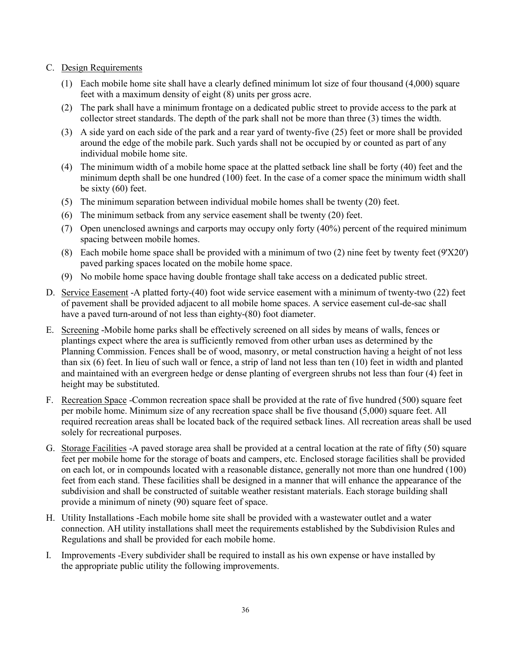## C. Design Requirements

- (1) Each mobile home site shall have a clearly defined minimum lot size of four thousand (4,000) square feet with a maximum density of eight (8) units per gross acre.
- (2) The park shall have a minimum frontage on a dedicated public street to provide access to the park at collector street standards. The depth of the park shall not be more than three (3) times the width.
- (3) A side yard on each side of the park and a rear yard of twenty-five (25) feet or more shall be provided around the edge of the mobile park. Such yards shall not be occupied by or counted as part of any individual mobile home site.
- (4) The minimum width of a mobile home space at the platted setback line shall be forty (40) feet and the minimum depth shall be one hundred (100) feet. In the case of a comer space the minimum width shall be sixty (60) feet.
- (5) The minimum separation between individual mobile homes shall be twenty (20) feet.
- (6) The minimum setback from any service easement shall be twenty (20) feet.
- (7) Open unenclosed awnings and carports may occupy only forty (40%) percent of the required minimum spacing between mobile homes.
- (8) Each mobile home space shall be provided with a minimum of two (2) nine feet by twenty feet (9'X20') paved parking spaces located on the mobile home space.
- (9) No mobile home space having double frontage shall take access on a dedicated public street.
- D. Service Easement -A platted forty-(40) foot wide service easement with a minimum of twenty-two (22) feet of pavement shall be provided adjacent to all mobile home spaces. A service easement cul-de-sac shall have a paved turn-around of not less than eighty-(80) foot diameter.
- E. Screening -Mobile home parks shall be effectively screened on all sides by means of walls, fences or plantings expect where the area is sufficiently removed from other urban uses as determined by the Planning Commission. Fences shall be of wood, masonry, or metal construction having a height of not less than six (6) feet. In lieu of such wall or fence, a strip of land not less than ten (10) feet in width and planted and maintained with an evergreen hedge or dense planting of evergreen shrubs not less than four (4) feet in height may be substituted.
- F. Recreation Space -Common recreation space shall be provided at the rate of five hundred (500) square feet per mobile home. Minimum size of any recreation space shall be five thousand (5,000) square feet. All required recreation areas shall be located back of the required setback lines. All recreation areas shall be used solely for recreational purposes.
- G. Storage Facilities -A paved storage area shall be provided at a central location at the rate of fifty (50) square feet per mobile home for the storage of boats and campers, etc. Enclosed storage facilities shall be provided on each lot, or in compounds located with a reasonable distance, generally not more than one hundred (100) feet from each stand. These facilities shall be designed in a manner that will enhance the appearance of the subdivision and shall be constructed of suitable weather resistant materials. Each storage building shall provide a minimum of ninety (90) square feet of space.
- H. Utility Installations -Each mobile home site shall be provided with a wastewater outlet and a water connection. AH utility installations shall meet the requirements established by the Subdivision Rules and Regulations and shall be provided for each mobile home.
- I. Improvements -Every subdivider shall be required to install as his own expense or have installed by the appropriate public utility the following improvements.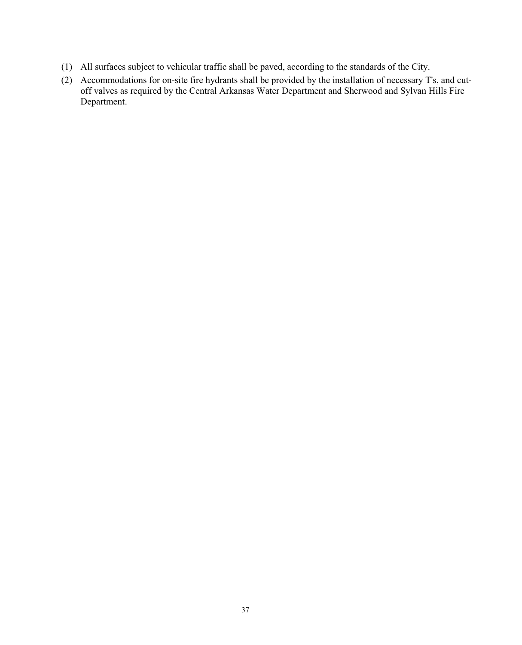- (1) All surfaces subject to vehicular traffic shall be paved, according to the standards of the City.
- (2) Accommodations for on-site fire hydrants shall be provided by the installation of necessary T's, and cutoff valves as required by the Central Arkansas Water Department and Sherwood and Sylvan Hills Fire Department.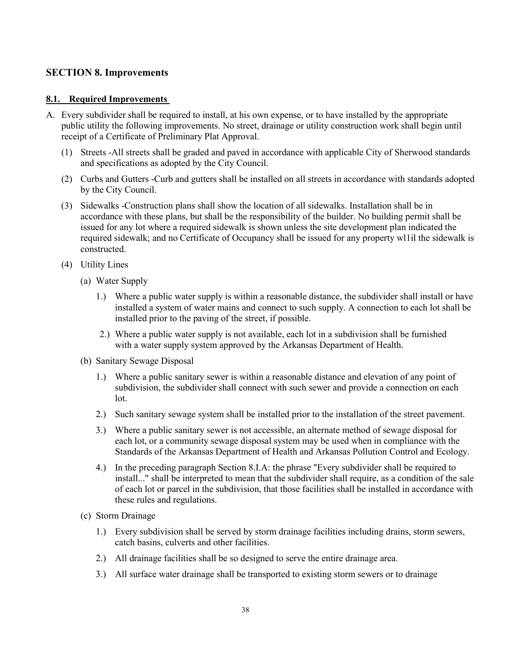## <span id="page-40-0"></span>**SECTION 8. Improvements**

## <span id="page-40-1"></span>**8.1. Required Improvements**

- A. Every subdivider shall be required to install, at his own expense, or to have installed by the appropriate public utility the following improvements. No street, drainage or utility construction work shall begin until receipt of a Certificate of Preliminary Plat Approval.
	- (1) Streets -All streets shall be graded and paved in accordance with applicable City of Sherwood standards and specifications as adopted by the City Council.
	- (2) Curbs and Gutters -Curb and gutters shall be installed on all streets in accordance with standards adopted by the City Council.
	- (3) Sidewalks -Construction plans shall show the location of all sidewalks. Installation shall be in accordance with these plans, but shall be the responsibility of the builder. No building permit shall be issued for any lot where a required sidewalk is shown unless the site development plan indicated the required sidewalk; and no Certificate of Occupancy shall be issued for any property wl1il the sidewalk is constructed.
	- (4) Utility Lines
		- (a) Water Supply
			- 1.) Where a public water supply is within a reasonable distance, the subdivider shall install or have installed a system of water mains and connect to such supply. A connection to each lot shall be installed prior to the paving of the street, if possible.
			- 2.) Where a public water supply is not available, each lot in a subdivision shall be furnished with a water supply system approved by the Arkansas Department of Health.
		- (b) Sanitary Sewage Disposal
			- 1.) Where a public sanitary sewer is within a reasonable distance and elevation of any point of subdivision, the subdivider shall connect with such sewer and provide a connection on each lot.
			- 2.) Such sanitary sewage system shall be installed prior to the installation of the street pavement.
			- 3.) Where a public sanitary sewer is not accessible, an alternate method of sewage disposal for each lot, or a community sewage disposal system may be used when in compliance with the Standards of the Arkansas Department of Health and Arkansas Pollution Control and Ecology.
			- 4.) In the preceding paragraph Section 8.I.A: the phrase "Every subdivider shall be required to install..." shall be interpreted to mean that the subdivider shall require, as a condition of the sale of each lot or parcel in the subdivision, that those facilities shall be installed in accordance with these rules and regulations.
		- (c) Storm Drainage
			- 1.) Every subdivision shall be served by storm drainage facilities including drains, storm sewers, catch basins, culverts and other facilities.
			- 2.) All drainage facilities shall be so designed to serve the entire drainage area.
			- 3.) All surface water drainage shall be transported to existing storm sewers or to drainage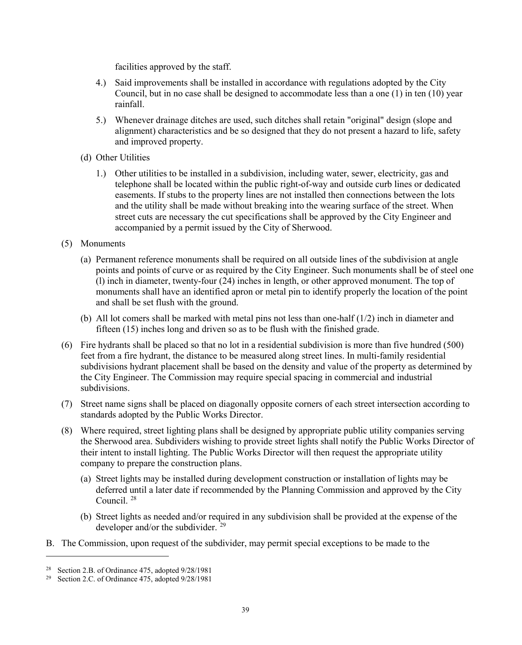facilities approved by the staff.

- 4.) Said improvements shall be installed in accordance with regulations adopted by the City Council, but in no case shall be designed to accommodate less than a one  $(1)$  in ten  $(10)$  year rainfall.
- 5.) Whenever drainage ditches are used, such ditches shall retain "original" design (slope and alignment) characteristics and be so designed that they do not present a hazard to life, safety and improved property.
- (d) Other Utilities
	- 1.) Other utilities to be installed in a subdivision, including water, sewer, electricity, gas and telephone shall be located within the public right-of-way and outside curb lines or dedicated easements. If stubs to the property lines are not installed then connections between the lots and the utility shall be made without breaking into the wearing surface of the street. When street cuts are necessary the cut specifications shall be approved by the City Engineer and accompanied by a permit issued by the City of Sherwood.
- (5) Monuments
	- (a) Permanent reference monuments shall be required on all outside lines of the subdivision at angle points and points of curve or as required by the City Engineer. Such monuments shall be of steel one (l) inch in diameter, twenty-four (24) inches in length, or other approved monument. The top of monuments shall have an identified apron or metal pin to identify properly the location of the point and shall be set flush with the ground.
	- (b) All lot comers shall be marked with metal pins not less than one-half  $(1/2)$  inch in diameter and fifteen (15) inches long and driven so as to be flush with the finished grade.
- (6) Fire hydrants shall be placed so that no lot in a residential subdivision is more than five hundred (500) feet from a fire hydrant, the distance to be measured along street lines. In multi-family residential subdivisions hydrant placement shall be based on the density and value of the property as determined by the City Engineer. The Commission may require special spacing in commercial and industrial subdivisions.
- (7) Street name signs shall be placed on diagonally opposite corners of each street intersection according to standards adopted by the Public Works Director.
- (8) Where required, street lighting plans shall be designed by appropriate public utility companies serving the Sherwood area. Subdividers wishing to provide street lights shall notify the Public Works Director of their intent to install lighting. The Public Works Director will then request the appropriate utility company to prepare the construction plans.
	- (a) Street lights may be installed during development construction or installation of lights may be deferred until a later date if recommended by the Planning Commission and approved by the City Council. [28](#page-41-0)
	- (b) Street lights as needed and/or required in any subdivision shall be provided at the expense of the developer and/or the subdivider. [29](#page-41-1)
- B. The Commission, upon request of the subdivider, may permit special exceptions to be made to the

 $\overline{a}$ 

<span id="page-41-0"></span><sup>28</sup> Section 2.B. of Ordinance 475, adopted 9/28/1981

<span id="page-41-1"></span><sup>&</sup>lt;sup>29</sup> Section 2.C. of Ordinance 475, adopted 9/28/1981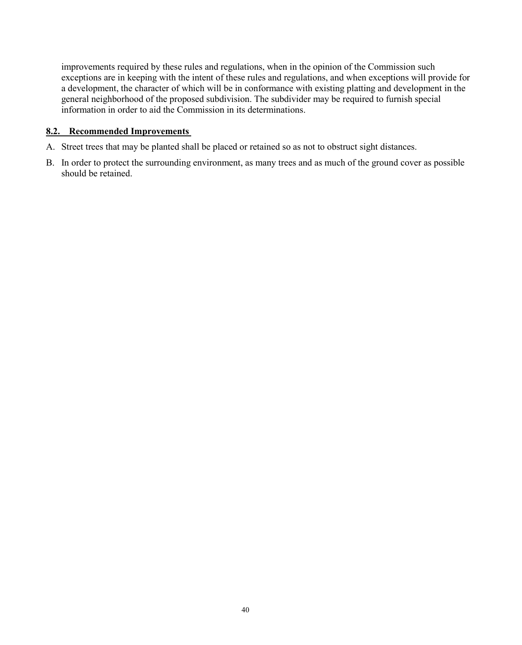improvements required by these rules and regulations, when in the opinion of the Commission such exceptions are in keeping with the intent of these rules and regulations, and when exceptions will provide for a development, the character of which will be in conformance with existing platting and development in the general neighborhood of the proposed subdivision. The subdivider may be required to furnish special information in order to aid the Commission in its determinations.

## <span id="page-42-0"></span>**8.2. Recommended Improvements**

- A. Street trees that may be planted shall be placed or retained so as not to obstruct sight distances.
- B. In order to protect the surrounding environment, as many trees and as much of the ground cover as possible should be retained.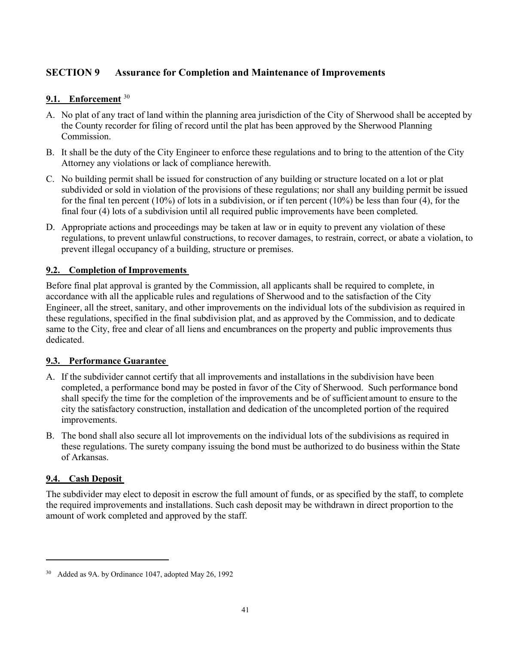# <span id="page-43-0"></span>**SECTION 9 Assurance for Completion and Maintenance of Improvements**

# <span id="page-43-1"></span>**9.1. Enforcement** [30](#page-43-5)

- A. No plat of any tract of land within the planning area jurisdiction of the City of Sherwood shall be accepted by the County recorder for filing of record until the plat has been approved by the Sherwood Planning Commission.
- B. It shall be the duty of the City Engineer to enforce these regulations and to bring to the attention of the City Attorney any violations or lack of compliance herewith.
- C. No building permit shall be issued for construction of any building or structure located on a lot or plat subdivided or sold in violation of the provisions of these regulations; nor shall any building permit be issued for the final ten percent (10%) of lots in a subdivision, or if ten percent (10%) be less than four (4), for the final four (4) lots of a subdivision until all required public improvements have been completed.
- D. Appropriate actions and proceedings may be taken at law or in equity to prevent any violation of these regulations, to prevent unlawful constructions, to recover damages, to restrain, correct, or abate a violation, to prevent illegal occupancy of a building, structure or premises.

# <span id="page-43-2"></span>**9.2. Completion of Improvements**

Before final plat approval is granted by the Commission, all applicants shall be required to complete, in accordance with all the applicable rules and regulations of Sherwood and to the satisfaction of the City Engineer, all the street, sanitary, and other improvements on the individual lots of the subdivision as required in these regulations, specified in the final subdivision plat, and as approved by the Commission, and to dedicate same to the City, free and clear of all liens and encumbrances on the property and public improvements thus dedicated.

# <span id="page-43-3"></span>**9.3. Performance Guarantee**

- A. If the subdivider cannot certify that all improvements and installations in the subdivision have been completed, a performance bond may be posted in favor of the City of Sherwood. Such performance bond shall specify the time for the completion of the improvements and be of sufficient amount to ensure to the city the satisfactory construction, installation and dedication of the uncompleted portion of the required improvements.
- B. The bond shall also secure all lot improvements on the individual lots of the subdivisions as required in these regulations. The surety company issuing the bond must be authorized to do business within the State of Arkansas.

# <span id="page-43-4"></span>**9.4. Cash Deposit**

 $\overline{a}$ 

The subdivider may elect to deposit in escrow the full amount of funds, or as specified by the staff, to complete the required improvements and installations. Such cash deposit may be withdrawn in direct proportion to the amount of work completed and approved by the staff.

<span id="page-43-5"></span><sup>30</sup> Added as 9A. by Ordinance 1047, adopted May 26, 1992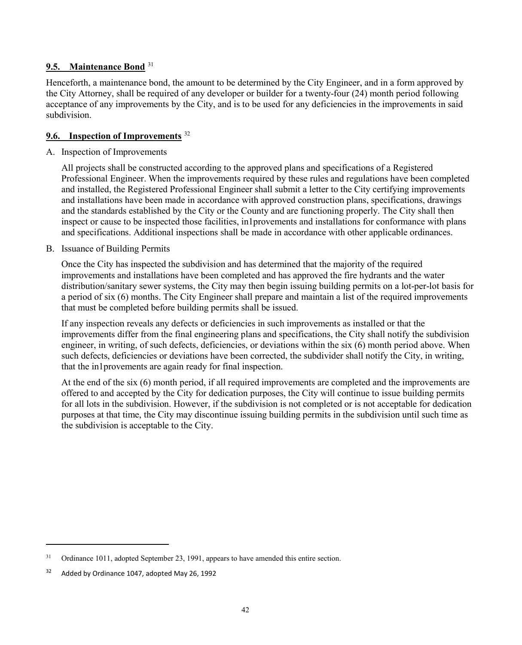## <span id="page-44-0"></span>**9.5. Maintenance Bond** [31](#page-44-2)

Henceforth, a maintenance bond, the amount to be determined by the City Engineer, and in a form approved by the City Attorney, shall be required of any developer or builder for a twenty-four (24) month period following acceptance of any improvements by the City, and is to be used for any deficiencies in the improvements in said subdivision.

## <span id="page-44-1"></span>**9.6. Inspection of Improvements** [32](#page-44-3)

A. Inspection of Improvements

All projects shall be constructed according to the approved plans and specifications of a Registered Professional Engineer. When the improvements required by these rules and regulations have been completed and installed, the Registered Professional Engineer shall submit a letter to the City certifying improvements and installations have been made in accordance with approved construction plans, specifications, drawings and the standards established by the City or the County and are functioning properly. The City shall then inspect or cause to be inspected those facilities, in1provements and installations for conformance with plans and specifications. Additional inspections shall be made in accordance with other applicable ordinances.

B. Issuance of Building Permits

Once the City has inspected the subdivision and has determined that the majority of the required improvements and installations have been completed and has approved the fire hydrants and the water distribution/sanitary sewer systems, the City may then begin issuing building permits on a lot-per-lot basis for a period of six (6) months. The City Engineer shall prepare and maintain a list of the required improvements that must be completed before building permits shall be issued.

If any inspection reveals any defects or deficiencies in such improvements as installed or that the improvements differ from the final engineering plans and specifications, the City shall notify the subdivision engineer, in writing, of such defects, deficiencies, or deviations within the six (6) month period above. When such defects, deficiencies or deviations have been corrected, the subdivider shall notify the City, in writing, that the in1provements are again ready for final inspection.

At the end of the six (6) month period, if all required improvements are completed and the improvements are offered to and accepted by the City for dedication purposes, the City will continue to issue building permits for all lots in the subdivision. However, if the subdivision is not completed or is not acceptable for dedication purposes at that time, the City may discontinue issuing building permits in the subdivision until such time as the subdivision is acceptable to the City.

<span id="page-44-2"></span><sup>&</sup>lt;sup>31</sup> Ordinance 1011, adopted September 23, 1991, appears to have amended this entire section.

<span id="page-44-3"></span><sup>&</sup>lt;sup>32</sup> Added by Ordinance 1047, adopted May 26, 1992